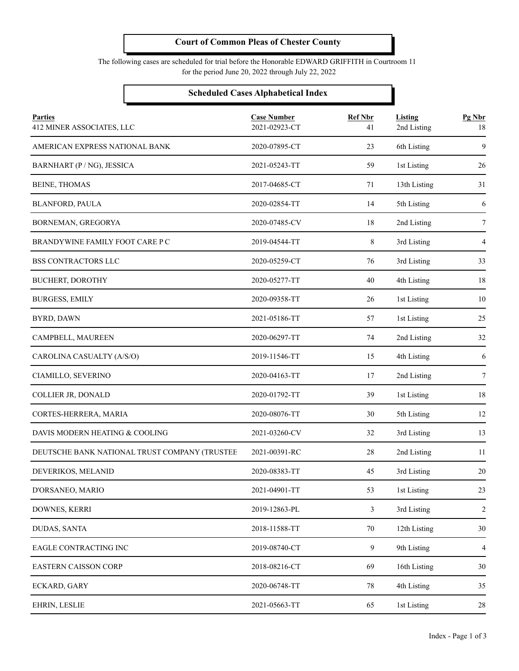The following cases are scheduled for trial before the Honorable EDWARD GRIFFITH in Courtroom 11 for the period June 20, 2022 through July 22, 2022

#### **Scheduled Cases Alphabetical Index**

| <b>Parties</b><br>412 MINER ASSOCIATES, LLC   | <b>Case Number</b><br>2021-02923-CT | <b>Ref Nbr</b><br>41 | Listing<br>2nd Listing | Pg Nbr<br>18   |
|-----------------------------------------------|-------------------------------------|----------------------|------------------------|----------------|
| AMERICAN EXPRESS NATIONAL BANK                | 2020-07895-CT                       | 23                   | 6th Listing            | 9              |
| BARNHART (P / NG), JESSICA                    | 2021-05243-TT                       | 59                   | 1st Listing            | 26             |
| <b>BEINE, THOMAS</b>                          | 2017-04685-CT                       | 71                   | 13th Listing           | 31             |
| <b>BLANFORD, PAULA</b>                        | 2020-02854-TT                       | 14                   | 5th Listing            | 6              |
| BORNEMAN, GREGORYA                            | 2020-07485-CV                       | 18                   | 2nd Listing            | 7              |
| BRANDYWINE FAMILY FOOT CARE P C               | 2019-04544-TT                       | 8                    | 3rd Listing            | 4              |
| BSS CONTRACTORS LLC                           | 2020-05259-CT                       | 76                   | 3rd Listing            | 33             |
| <b>BUCHERT, DOROTHY</b>                       | 2020-05277-TT                       | 40                   | 4th Listing            | 18             |
| <b>BURGESS, EMILY</b>                         | 2020-09358-TT                       | 26                   | 1st Listing            | 10             |
| BYRD, DAWN                                    | 2021-05186-TT                       | 57                   | 1st Listing            | 25             |
| CAMPBELL, MAUREEN                             | 2020-06297-TT                       | 74                   | 2nd Listing            | 32             |
| CAROLINA CASUALTY (A/S/O)                     | 2019-11546-TT                       | 15                   | 4th Listing            | 6              |
| CIAMILLO, SEVERINO                            | 2020-04163-TT                       | 17                   | 2nd Listing            | 7              |
| COLLIER JR, DONALD                            | 2020-01792-TT                       | 39                   | 1st Listing            | 18             |
| CORTES-HERRERA, MARIA                         | 2020-08076-TT                       | 30                   | 5th Listing            | 12             |
| DAVIS MODERN HEATING & COOLING                | 2021-03260-CV                       | 32                   | 3rd Listing            | 13             |
| DEUTSCHE BANK NATIONAL TRUST COMPANY (TRUSTEE | 2021-00391-RC                       | 28                   | 2nd Listing            | 11             |
| DEVERIKOS, MELANID                            | 2020-08383-TT                       | 45                   | 3rd Listing            | 20             |
| D'ORSANEO, MARIO                              | 2021-04901-TT                       | 53                   | 1st Listing            | 23             |
| DOWNES, KERRI                                 | 2019-12863-PL                       | 3                    | 3rd Listing            | $\sqrt{2}$     |
| DUDAS, SANTA                                  | 2018-11588-TT                       | 70                   | 12th Listing           | 30             |
| EAGLE CONTRACTING INC                         | 2019-08740-CT                       | 9                    | 9th Listing            | $\overline{4}$ |
| <b>EASTERN CAISSON CORP</b>                   | 2018-08216-CT                       | 69                   | 16th Listing           | 30             |
| ECKARD, GARY                                  | 2020-06748-TT                       | 78                   | 4th Listing            | 35             |
| EHRIN, LESLIE                                 | 2021-05663-TT                       | 65                   | 1st Listing            | 28             |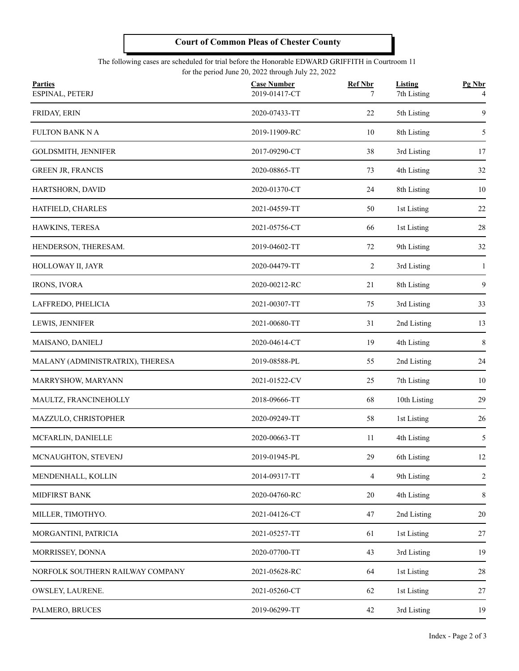#### The following cases are scheduled for trial before the Honorable EDWARD GRIFFITH in Courtroom 11 for the period June 20, 2022 through July 22, 2022

| <b>Parties</b><br>ESPINAL, PETERJ | <b>Case Number</b><br>2019-01417-CT | <b>Ref Nbr</b><br>7 | <b>Listing</b><br>7th Listing<br>5th Listing | Pg Nbr<br>4<br>9 |
|-----------------------------------|-------------------------------------|---------------------|----------------------------------------------|------------------|
| FRIDAY, ERIN                      | 2020-07433-TT                       | 22                  |                                              |                  |
| <b>FULTON BANK N A</b>            | 2019-11909-RC                       | 10                  | 8th Listing                                  | 5                |
| <b>GOLDSMITH, JENNIFER</b>        | 2017-09290-CT                       | 38                  | 3rd Listing                                  | 17               |
| <b>GREEN JR, FRANCIS</b>          | 2020-08865-TT                       | 73                  | 4th Listing                                  | 32               |
| HARTSHORN, DAVID                  | 2020-01370-CT                       | 24                  | 8th Listing                                  | 10               |
| HATFIELD, CHARLES                 | 2021-04559-TT                       | 50                  | 1st Listing                                  | $22\,$           |
| HAWKINS, TERESA                   | 2021-05756-CT                       | 66                  | 1st Listing                                  | 28               |
| HENDERSON, THERESAM.              | 2019-04602-TT                       | 72                  | 9th Listing                                  | 32               |
| HOLLOWAY II, JAYR                 | 2020-04479-TT                       | $\overline{c}$      | 3rd Listing                                  | 1                |
| <b>IRONS, IVORA</b>               | 2020-00212-RC                       | 21                  | 8th Listing                                  | 9                |
| LAFFREDO, PHELICIA                | 2021-00307-TT                       |                     | 3rd Listing                                  | 33               |
| LEWIS, JENNIFER                   | 2021-00680-TT                       | 31                  | 2nd Listing                                  | 13               |
| MAISANO, DANIELJ                  | 2020-04614-CT                       | 19                  | 4th Listing                                  | 8                |
| MALANY (ADMINISTRATRIX), THERESA  | 2019-08588-PL                       | 55                  | 2nd Listing                                  | 24               |
| MARRYSHOW, MARYANN                | 2021-01522-CV                       | 25<br>7th Listing   |                                              | 10               |
| MAULTZ, FRANCINEHOLLY             | 2018-09666-TT<br>68                 |                     | 10th Listing                                 | 29               |
| MAZZULO, CHRISTOPHER              | 2020-09249-TT                       | 58                  | 1st Listing                                  | 26               |
| MCFARLIN, DANIELLE                | 2020-00663-TT                       | 11                  | 4th Listing                                  | 5                |
| MCNAUGHTON, STEVENJ               | 2019-01945-PL                       | 29                  | 6th Listing                                  | 12               |
| MENDENHALL, KOLLIN                | 2014-09317-TT                       | $\overline{4}$      | 9th Listing                                  | 2                |
| MIDFIRST BANK                     | 2020-04760-RC                       | 20                  | 4th Listing                                  | 8                |
| MILLER, TIMOTHYO.                 | 2021-04126-CT                       | 47                  | 2nd Listing                                  | $20\,$           |
| MORGANTINI, PATRICIA              | 2021-05257-TT                       | 61                  | 1st Listing                                  | 27               |
| MORRISSEY, DONNA                  | 2020-07700-TT                       | 43<br>3rd Listing   |                                              | 19               |
| NORFOLK SOUTHERN RAILWAY COMPANY  | 2021-05628-RC                       | 64                  | 1st Listing                                  | $28\,$           |
| OWSLEY, LAURENE.                  | 2021-05260-CT                       | 62                  | 1st Listing                                  | 27               |
| PALMERO, BRUCES                   | 2019-06299-TT                       | 42                  | 3rd Listing                                  | 19               |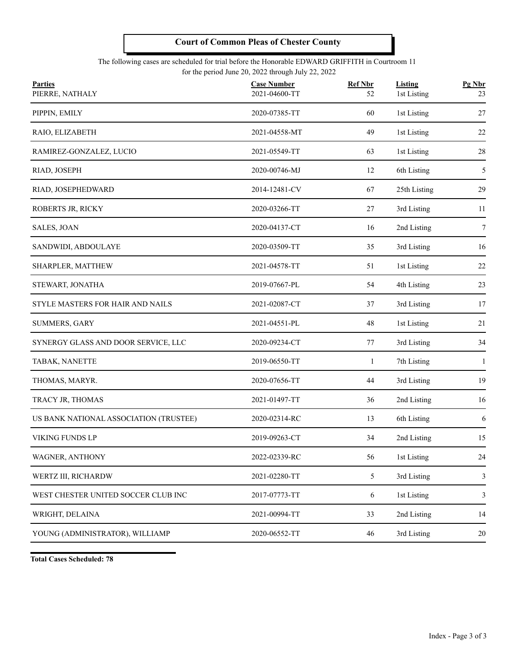#### The following cases are scheduled for trial before the Honorable EDWARD GRIFFITH in Courtroom 11 for the period June 20, 2022 through July 22, 2022

| <b>Parties</b>                         | <b>Case Number</b> | <b>Ref Nbr</b> | <b>Listing</b> | Pg Nbr |
|----------------------------------------|--------------------|----------------|----------------|--------|
| PIERRE, NATHALY                        | 2021-04600-TT      | 52             | 1st Listing    | 23     |
| PIPPIN, EMILY                          | 2020-07385-TT      | 60             | 1st Listing    | 27     |
| RAIO, ELIZABETH                        | 2021-04558-MT      | 49             | 1st Listing    | 22     |
| RAMIREZ-GONZALEZ, LUCIO                | 2021-05549-TT      | 63             | 1st Listing    | 28     |
| RIAD, JOSEPH                           | 2020-00746-MJ      | 12             | 6th Listing    | 5      |
| RIAD, JOSEPHEDWARD                     | 2014-12481-CV      | 67             | 25th Listing   | 29     |
| ROBERTS JR, RICKY                      | 2020-03266-TT      | 27             | 3rd Listing    | 11     |
| SALES, JOAN                            | 2020-04137-CT      | 16             | 2nd Listing    | 7      |
| SANDWIDI, ABDOULAYE                    | 2020-03509-TT      | 35             | 3rd Listing    | 16     |
| SHARPLER, MATTHEW                      | 2021-04578-TT      | 51             | 1st Listing    | 22     |
| STEWART, JONATHA                       | 2019-07667-PL      | 54             | 4th Listing    | 23     |
| STYLE MASTERS FOR HAIR AND NAILS       | 2021-02087-CT      | 37             | 3rd Listing    | 17     |
| SUMMERS, GARY                          | 2021-04551-PL      | $48\,$         | 1st Listing    | 21     |
| SYNERGY GLASS AND DOOR SERVICE, LLC    | 2020-09234-CT      | 77             | 3rd Listing    | 34     |
| TABAK, NANETTE                         | 2019-06550-TT      | $\mathbf{1}$   | 7th Listing    | -1     |
| THOMAS, MARYR.                         | 2020-07656-TT      | 44             | 3rd Listing    | 19     |
| TRACY JR, THOMAS                       | 2021-01497-TT      | 36             | 2nd Listing    | 16     |
| US BANK NATIONAL ASSOCIATION (TRUSTEE) | 2020-02314-RC      | 13             | 6th Listing    | 6      |
| VIKING FUNDS LP                        | 2019-09263-CT      | 34             | 2nd Listing    | 15     |
| WAGNER, ANTHONY                        | 2022-02339-RC      | 56             | 1st Listing    | $24\,$ |
| WERTZ III, RICHARDW                    | 2021-02280-TT      | 5              | 3rd Listing    | 3      |
| WEST CHESTER UNITED SOCCER CLUB INC    | 2017-07773-TT      | 6              | 1st Listing    | 3      |
| WRIGHT, DELAINA                        | 2021-00994-TT      | 33             | 2nd Listing    | 14     |
| YOUNG (ADMINISTRATOR), WILLIAMP        | 2020-06552-TT      | 46             | 3rd Listing    | 20     |
|                                        |                    |                |                |        |

**Total Cases Scheduled: 78**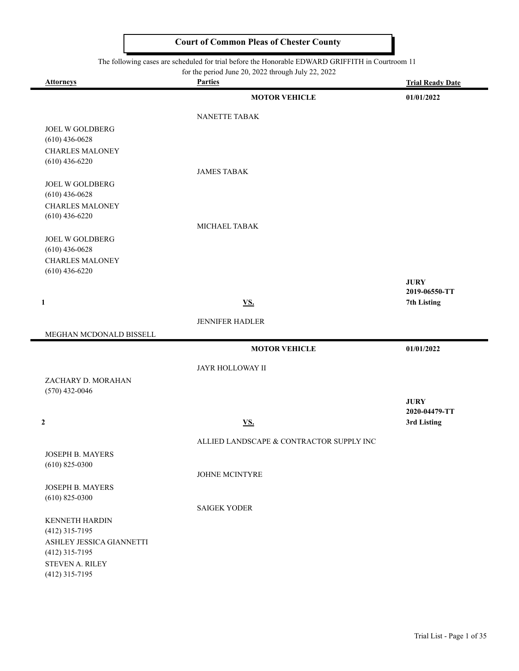#### The following cases are scheduled for trial before the Honorable EDWARD GRIFFITH in Courtroom 11

for the period June 20, 2022 through July 22, 2022

| <b>Attorneys</b>                           | For the period sune 20, 2022 unough sury 22, 2022<br><b>Parties</b> | <b>Trial Ready Date</b> |
|--------------------------------------------|---------------------------------------------------------------------|-------------------------|
|                                            | <b>MOTOR VEHICLE</b>                                                | 01/01/2022              |
|                                            | NANETTE TABAK                                                       |                         |
| JOEL W GOLDBERG                            |                                                                     |                         |
| $(610)$ 436-0628                           |                                                                     |                         |
| <b>CHARLES MALONEY</b>                     |                                                                     |                         |
| $(610)$ 436-6220                           | <b>JAMES TABAK</b>                                                  |                         |
| JOEL W GOLDBERG                            |                                                                     |                         |
| $(610)$ 436-0628                           |                                                                     |                         |
| <b>CHARLES MALONEY</b>                     |                                                                     |                         |
| $(610)$ 436-6220                           |                                                                     |                         |
|                                            | MICHAEL TABAK                                                       |                         |
| <b>JOEL W GOLDBERG</b>                     |                                                                     |                         |
| $(610)$ 436-0628                           |                                                                     |                         |
| <b>CHARLES MALONEY</b><br>$(610)$ 436-6220 |                                                                     |                         |
|                                            |                                                                     | <b>JURY</b>             |
|                                            |                                                                     | 2019-06550-TT           |
| $\mathbf{1}$                               | $\underline{\mathbf{VS}}$ .                                         | 7th Listing             |
|                                            | JENNIFER HADLER                                                     |                         |
| MEGHAN MCDONALD BISSELL                    |                                                                     |                         |
|                                            | <b>MOTOR VEHICLE</b>                                                | 01/01/2022              |
|                                            | JAYR HOLLOWAY II                                                    |                         |
| ZACHARY D. MORAHAN                         |                                                                     |                         |
| $(570)$ 432-0046                           |                                                                     |                         |
|                                            |                                                                     | <b>JURY</b>             |
|                                            |                                                                     | 2020-04479-TT           |
| $\overline{2}$                             | <b>VS.</b>                                                          | 3rd Listing             |
|                                            | ALLIED LANDSCAPE & CONTRACTOR SUPPLY INC                            |                         |
| JOSEPH B. MAYERS                           |                                                                     |                         |
| $(610)$ 825-0300                           |                                                                     |                         |
|                                            | JOHNE MCINTYRE                                                      |                         |
| JOSEPH B. MAYERS<br>$(610)$ 825-0300       |                                                                     |                         |
|                                            | <b>SAIGEK YODER</b>                                                 |                         |
| KENNETH HARDIN                             |                                                                     |                         |
| $(412)$ 315-7195                           |                                                                     |                         |
| ASHLEY JESSICA GIANNETTI                   |                                                                     |                         |
| $(412)$ 315-7195                           |                                                                     |                         |
| STEVEN A. RILEY                            |                                                                     |                         |
| $(412)$ 315-7195                           |                                                                     |                         |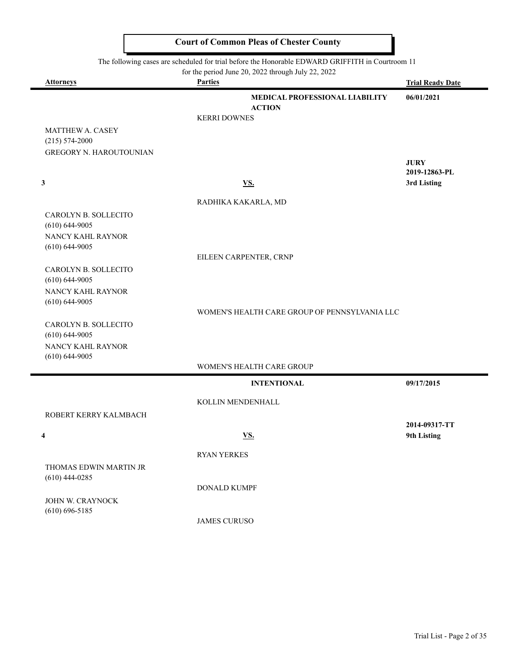|                                         | The following cases are scheduled for trial before the Honorable EDWARD GRIFFITH in Courtroom 11<br>for the period June 20, 2022 through July 22, 2022 |                         |
|-----------------------------------------|--------------------------------------------------------------------------------------------------------------------------------------------------------|-------------------------|
| <b>Attorneys</b>                        | <b>Parties</b>                                                                                                                                         | <b>Trial Ready Date</b> |
|                                         | <b>MEDICAL PROFESSIONAL LIABILITY</b>                                                                                                                  | 06/01/2021              |
|                                         | <b>ACTION</b>                                                                                                                                          |                         |
|                                         | <b>KERRI DOWNES</b>                                                                                                                                    |                         |
| MATTHEW A. CASEY                        |                                                                                                                                                        |                         |
| $(215) 574 - 2000$                      |                                                                                                                                                        |                         |
| <b>GREGORY N. HAROUTOUNIAN</b>          |                                                                                                                                                        | <b>JURY</b>             |
|                                         |                                                                                                                                                        | 2019-12863-PL           |
| 3                                       | <u>VS.</u>                                                                                                                                             | 3rd Listing             |
|                                         |                                                                                                                                                        |                         |
|                                         | RADHIKA KAKARLA, MD                                                                                                                                    |                         |
| CAROLYN B. SOLLECITO                    |                                                                                                                                                        |                         |
| $(610) 644 - 9005$<br>NANCY KAHL RAYNOR |                                                                                                                                                        |                         |
| $(610) 644 - 9005$                      |                                                                                                                                                        |                         |
|                                         | EILEEN CARPENTER, CRNP                                                                                                                                 |                         |
| CAROLYN B. SOLLECITO                    |                                                                                                                                                        |                         |
| $(610) 644 - 9005$                      |                                                                                                                                                        |                         |
| NANCY KAHL RAYNOR                       |                                                                                                                                                        |                         |
| $(610) 644 - 9005$                      |                                                                                                                                                        |                         |
|                                         | WOMEN'S HEALTH CARE GROUP OF PENNSYLVANIA LLC                                                                                                          |                         |
| CAROLYN B. SOLLECITO                    |                                                                                                                                                        |                         |
| $(610) 644 - 9005$<br>NANCY KAHL RAYNOR |                                                                                                                                                        |                         |
| $(610) 644 - 9005$                      |                                                                                                                                                        |                         |
|                                         | WOMEN'S HEALTH CARE GROUP                                                                                                                              |                         |
|                                         | <b>INTENTIONAL</b>                                                                                                                                     | 09/17/2015              |
|                                         |                                                                                                                                                        |                         |
|                                         | KOLLIN MENDENHALL                                                                                                                                      |                         |
| ROBERT KERRY KALMBACH                   |                                                                                                                                                        | 2014-09317-TT           |
| 4                                       | <u>VS.</u>                                                                                                                                             | 9th Listing             |
|                                         |                                                                                                                                                        |                         |
|                                         | <b>RYAN YERKES</b>                                                                                                                                     |                         |
| THOMAS EDWIN MARTIN JR                  |                                                                                                                                                        |                         |
| $(610)$ 444-0285                        |                                                                                                                                                        |                         |
|                                         | <b>DONALD KUMPF</b>                                                                                                                                    |                         |
| JOHN W. CRAYNOCK<br>$(610) 696 - 5185$  |                                                                                                                                                        |                         |
|                                         | <b>JAMES CURUSO</b>                                                                                                                                    |                         |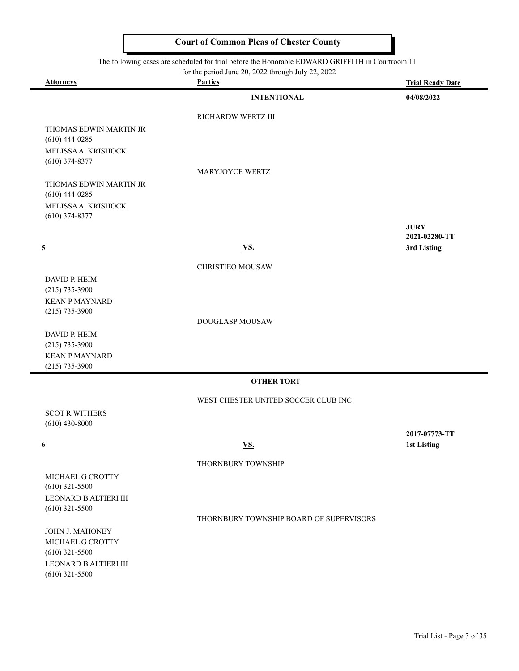The following cases are scheduled for trial before the Honorable EDWARD GRIFFITH in Courtroom 11

|                                           | The following cases are scheduled for trial before the Honorable EDWARD GRIFFITH in Courtroom II<br>for the period June 20, 2022 through July 22, 2022 |                              |
|-------------------------------------------|--------------------------------------------------------------------------------------------------------------------------------------------------------|------------------------------|
| <b>Attorneys</b>                          | <b>Parties</b>                                                                                                                                         | <b>Trial Ready Date</b>      |
|                                           | <b>INTENTIONAL</b>                                                                                                                                     | 04/08/2022                   |
|                                           | RICHARDW WERTZ III                                                                                                                                     |                              |
| THOMAS EDWIN MARTIN JR                    |                                                                                                                                                        |                              |
| $(610)$ 444-0285                          |                                                                                                                                                        |                              |
| MELISSA A. KRISHOCK                       |                                                                                                                                                        |                              |
| $(610)$ 374-8377                          | MARYJOYCE WERTZ                                                                                                                                        |                              |
| THOMAS EDWIN MARTIN JR                    |                                                                                                                                                        |                              |
| $(610)$ 444-0285                          |                                                                                                                                                        |                              |
| MELISSA A. KRISHOCK                       |                                                                                                                                                        |                              |
| $(610)$ 374-8377                          |                                                                                                                                                        |                              |
|                                           |                                                                                                                                                        | <b>JURY</b><br>2021-02280-TT |
| 5                                         | <b>VS.</b>                                                                                                                                             | 3rd Listing                  |
|                                           |                                                                                                                                                        |                              |
|                                           | <b>CHRISTIEO MOUSAW</b>                                                                                                                                |                              |
| DAVID P. HEIM<br>$(215) 735 - 3900$       |                                                                                                                                                        |                              |
| <b>KEAN P MAYNARD</b>                     |                                                                                                                                                        |                              |
| $(215) 735 - 3900$                        |                                                                                                                                                        |                              |
|                                           | DOUGLASP MOUSAW                                                                                                                                        |                              |
| DAVID P. HEIM<br>$(215)$ 735-3900         |                                                                                                                                                        |                              |
| <b>KEAN P MAYNARD</b>                     |                                                                                                                                                        |                              |
| $(215) 735 - 3900$                        |                                                                                                                                                        |                              |
|                                           | <b>OTHER TORT</b>                                                                                                                                      |                              |
|                                           | WEST CHESTER UNITED SOCCER CLUB INC                                                                                                                    |                              |
| <b>SCOT R WITHERS</b>                     |                                                                                                                                                        |                              |
| $(610)$ 430-8000                          |                                                                                                                                                        |                              |
|                                           |                                                                                                                                                        | 2017-07773-TT                |
| 6                                         | <u>VS.</u>                                                                                                                                             | 1st Listing                  |
|                                           | THORNBURY TOWNSHIP                                                                                                                                     |                              |
| MICHAEL G CROTTY                          |                                                                                                                                                        |                              |
| $(610)$ 321-5500                          |                                                                                                                                                        |                              |
| LEONARD B ALTIERI III<br>$(610)$ 321-5500 |                                                                                                                                                        |                              |
|                                           | THORNBURY TOWNSHIP BOARD OF SUPERVISORS                                                                                                                |                              |
| JOHN J. MAHONEY                           |                                                                                                                                                        |                              |
| MICHAEL G CROTTY                          |                                                                                                                                                        |                              |
| $(610)$ 321-5500                          |                                                                                                                                                        |                              |

(610) 321-5500 LEONARD B ALTIERI III (610) 321-5500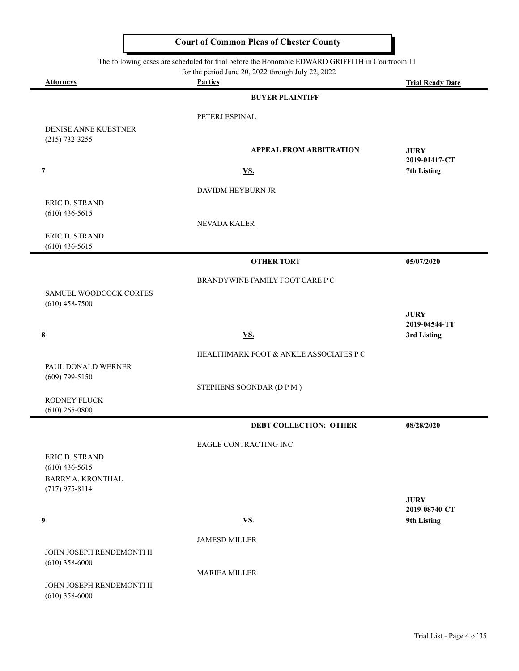|                                        | The following cases are scheduled for trial before the Honorable EDWARD GRIFFITH in Courtroom 11<br>for the period June 20, 2022 through July 22, 2022 |                              |
|----------------------------------------|--------------------------------------------------------------------------------------------------------------------------------------------------------|------------------------------|
| <b>Attorneys</b>                       | <b>Parties</b>                                                                                                                                         | <b>Trial Ready Date</b>      |
|                                        | <b>BUYER PLAINTIFF</b>                                                                                                                                 |                              |
|                                        | PETERJ ESPINAL                                                                                                                                         |                              |
| DENISE ANNE KUESTNER                   |                                                                                                                                                        |                              |
| $(215) 732 - 3255$                     | <b>APPEAL FROM ARBITRATION</b>                                                                                                                         | <b>JURY</b>                  |
|                                        |                                                                                                                                                        | 2019-01417-CT                |
| 7                                      | <b>VS.</b>                                                                                                                                             | 7th Listing                  |
|                                        | DAVIDM HEYBURN JR                                                                                                                                      |                              |
| ERIC D. STRAND                         |                                                                                                                                                        |                              |
| $(610)$ 436-5615                       | NEVADA KALER                                                                                                                                           |                              |
| ERIC D. STRAND                         |                                                                                                                                                        |                              |
| $(610)$ 436-5615                       |                                                                                                                                                        |                              |
|                                        | <b>OTHER TORT</b>                                                                                                                                      | 05/07/2020                   |
|                                        | BRANDYWINE FAMILY FOOT CARE P C                                                                                                                        |                              |
| SAMUEL WOODCOCK CORTES                 |                                                                                                                                                        |                              |
| $(610)$ 458-7500                       |                                                                                                                                                        | <b>JURY</b>                  |
|                                        |                                                                                                                                                        | 2019-04544-TT                |
| $\bf 8$                                | <b>VS.</b>                                                                                                                                             | 3rd Listing                  |
|                                        | HEALTHMARK FOOT & ANKLE ASSOCIATES P C                                                                                                                 |                              |
| PAUL DONALD WERNER<br>$(609)$ 799-5150 |                                                                                                                                                        |                              |
|                                        | STEPHENS SOONDAR (D P M)                                                                                                                               |                              |
| RODNEY FLUCK                           |                                                                                                                                                        |                              |
| $(610)$ 265-0800                       |                                                                                                                                                        |                              |
|                                        | <b>DEBT COLLECTION: OTHER</b>                                                                                                                          | 08/28/2020                   |
|                                        | EAGLE CONTRACTING INC                                                                                                                                  |                              |
| ERIC D. STRAND<br>$(610)$ 436-5615     |                                                                                                                                                        |                              |
| <b>BARRY A. KRONTHAL</b>               |                                                                                                                                                        |                              |
| $(717)$ 975-8114                       |                                                                                                                                                        |                              |
|                                        |                                                                                                                                                        | <b>JURY</b><br>2019-08740-CT |
| 9                                      | <b>VS.</b>                                                                                                                                             | 9th Listing                  |
|                                        | <b>JAMESD MILLER</b>                                                                                                                                   |                              |
| JOHN JOSEPH RENDEMONTI II              |                                                                                                                                                        |                              |
| $(610)$ 358-6000                       |                                                                                                                                                        |                              |
| JOHN JOSEPH RENDEMONTI II              | <b>MARIEA MILLER</b>                                                                                                                                   |                              |
| $(610)$ 358-6000                       |                                                                                                                                                        |                              |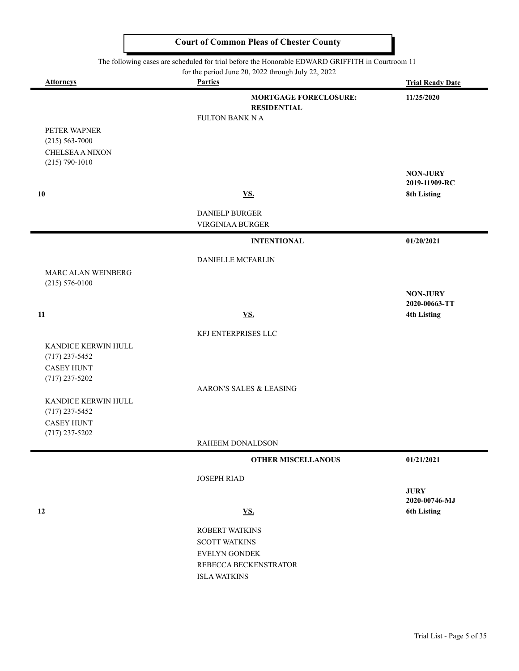|                                       | The following cases are scheduled for trial before the Honorable EDWARD GRIFFITH in Courtroom TT<br>for the period June 20, 2022 through July 22, 2022 |                                     |
|---------------------------------------|--------------------------------------------------------------------------------------------------------------------------------------------------------|-------------------------------------|
| <b>Attorneys</b>                      | <b>Parties</b>                                                                                                                                         | <b>Trial Ready Date</b>             |
|                                       | <b>MORTGAGE FORECLOSURE:</b>                                                                                                                           | 11/25/2020                          |
|                                       | <b>RESIDENTIAL</b><br><b>FULTON BANK N A</b>                                                                                                           |                                     |
| PETER WAPNER                          |                                                                                                                                                        |                                     |
| $(215) 563 - 7000$                    |                                                                                                                                                        |                                     |
| <b>CHELSEA A NIXON</b>                |                                                                                                                                                        |                                     |
| $(215) 790 - 1010$                    |                                                                                                                                                        | <b>NON-JURY</b>                     |
|                                       |                                                                                                                                                        | 2019-11909-RC                       |
| 10                                    | <b>VS.</b>                                                                                                                                             | <b>8th Listing</b>                  |
|                                       | DANIELP BURGER                                                                                                                                         |                                     |
|                                       | VIRGINIAA BURGER                                                                                                                                       |                                     |
|                                       | <b>INTENTIONAL</b>                                                                                                                                     | 01/20/2021                          |
|                                       | DANIELLE MCFARLIN                                                                                                                                      |                                     |
| MARC ALAN WEINBERG                    |                                                                                                                                                        |                                     |
| $(215) 576 - 0100$                    |                                                                                                                                                        | <b>NON-JURY</b>                     |
|                                       |                                                                                                                                                        | 2020-00663-TT                       |
| 11                                    | <b>VS.</b>                                                                                                                                             | <b>4th Listing</b>                  |
|                                       | KFJ ENTERPRISES LLC                                                                                                                                    |                                     |
| KANDICE KERWIN HULL                   |                                                                                                                                                        |                                     |
| $(717)$ 237-5452                      |                                                                                                                                                        |                                     |
| <b>CASEY HUNT</b><br>$(717)$ 237-5202 |                                                                                                                                                        |                                     |
|                                       | AARON'S SALES & LEASING                                                                                                                                |                                     |
| KANDICE KERWIN HULL                   |                                                                                                                                                        |                                     |
| $(717)$ 237-5452                      |                                                                                                                                                        |                                     |
| <b>CASEY HUNT</b><br>$(717)$ 237-5202 |                                                                                                                                                        |                                     |
|                                       | RAHEEM DONALDSON                                                                                                                                       |                                     |
|                                       | <b>OTHER MISCELLANOUS</b>                                                                                                                              | 01/21/2021                          |
|                                       | <b>JOSEPH RIAD</b>                                                                                                                                     |                                     |
|                                       |                                                                                                                                                        | <b>JURY</b>                         |
| 12                                    | <b>VS.</b>                                                                                                                                             | 2020-00746-MJ<br><b>6th Listing</b> |
|                                       |                                                                                                                                                        |                                     |
|                                       | <b>ROBERT WATKINS</b>                                                                                                                                  |                                     |
|                                       | <b>SCOTT WATKINS</b><br><b>EVELYN GONDEK</b>                                                                                                           |                                     |
|                                       | REBECCA BECKENSTRATOR                                                                                                                                  |                                     |
|                                       | <b>ISLA WATKINS</b>                                                                                                                                    |                                     |
|                                       |                                                                                                                                                        |                                     |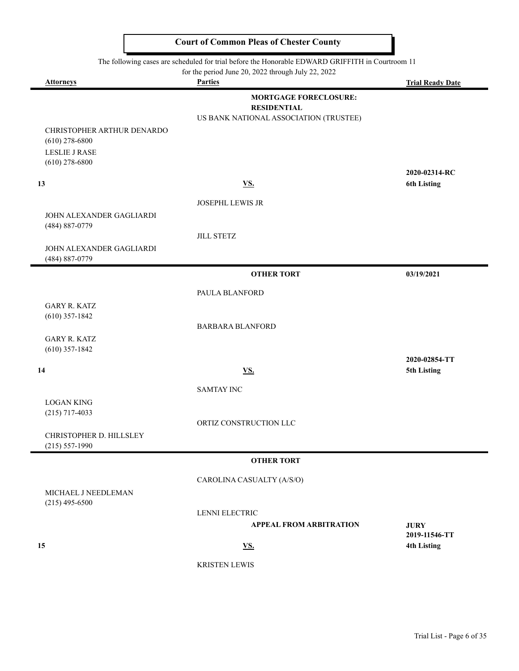I

 $\blacksquare$ 

 $\blacksquare$ 

ı

|                                                | The following cases are scheduled for trial before the Honorable EDWARD GRIFFITH in Courtroom 11 |                                     |
|------------------------------------------------|--------------------------------------------------------------------------------------------------|-------------------------------------|
|                                                | for the period June 20, 2022 through July 22, 2022                                               |                                     |
| <b>Attorneys</b>                               | <b>Parties</b>                                                                                   | <b>Trial Ready Date</b>             |
|                                                | <b>MORTGAGE FORECLOSURE:</b>                                                                     |                                     |
|                                                | <b>RESIDENTIAL</b>                                                                               |                                     |
|                                                | US BANK NATIONAL ASSOCIATION (TRUSTEE)                                                           |                                     |
| CHRISTOPHER ARTHUR DENARDO<br>$(610)$ 278-6800 |                                                                                                  |                                     |
| <b>LESLIE J RASE</b>                           |                                                                                                  |                                     |
| $(610)$ 278-6800                               |                                                                                                  |                                     |
|                                                |                                                                                                  | 2020-02314-RC                       |
| 13                                             | <u>VS.</u>                                                                                       | <b>6th Listing</b>                  |
|                                                |                                                                                                  |                                     |
| JOHN ALEXANDER GAGLIARDI                       | JOSEPHL LEWIS JR                                                                                 |                                     |
| (484) 887-0779                                 |                                                                                                  |                                     |
|                                                | <b>JILL STETZ</b>                                                                                |                                     |
| JOHN ALEXANDER GAGLIARDI                       |                                                                                                  |                                     |
| (484) 887-0779                                 |                                                                                                  |                                     |
|                                                | <b>OTHER TORT</b>                                                                                | 03/19/2021                          |
|                                                |                                                                                                  |                                     |
|                                                | PAULA BLANFORD                                                                                   |                                     |
| <b>GARY R. KATZ</b><br>$(610)$ 357-1842        |                                                                                                  |                                     |
|                                                | <b>BARBARA BLANFORD</b>                                                                          |                                     |
| <b>GARY R. KATZ</b>                            |                                                                                                  |                                     |
| $(610)$ 357-1842                               |                                                                                                  |                                     |
|                                                |                                                                                                  | 2020-02854-TT                       |
| 14                                             | <u>VS.</u>                                                                                       | 5th Listing                         |
|                                                | <b>SAMTAY INC</b>                                                                                |                                     |
| <b>LOGAN KING</b>                              |                                                                                                  |                                     |
| $(215)$ 717-4033                               |                                                                                                  |                                     |
|                                                | ORTIZ CONSTRUCTION LLC                                                                           |                                     |
| CHRISTOPHER D. HILLSLEY                        |                                                                                                  |                                     |
| $(215) 557 - 1990$                             |                                                                                                  |                                     |
|                                                | <b>OTHER TORT</b>                                                                                |                                     |
|                                                | CAROLINA CASUALTY (A/S/O)                                                                        |                                     |
| MICHAEL J NEEDLEMAN                            |                                                                                                  |                                     |
| $(215)$ 495-6500                               |                                                                                                  |                                     |
|                                                | <b>LENNI ELECTRIC</b>                                                                            |                                     |
|                                                | <b>APPEAL FROM ARBITRATION</b>                                                                   | <b>JURY</b>                         |
| 15                                             | <u>VS.</u>                                                                                       | 2019-11546-TT<br><b>4th Listing</b> |
|                                                |                                                                                                  |                                     |
|                                                | <b>KRISTEN LEWIS</b>                                                                             |                                     |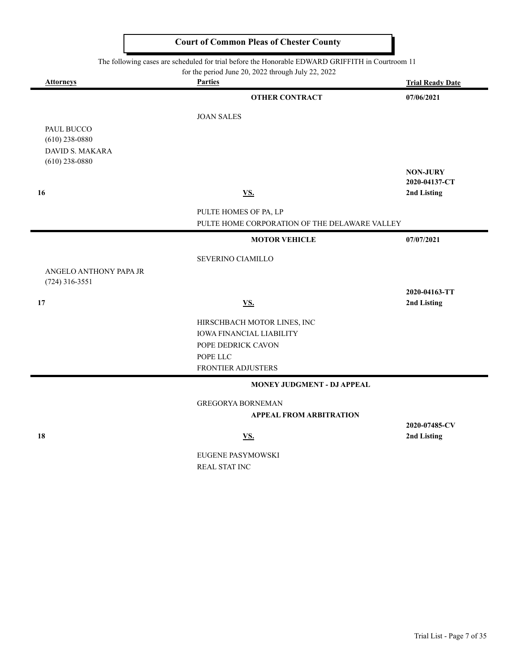The following cases are scheduled for trial before the Honorable EDWARD GRIFFITH in Courtroom 11

for the period June 20, 2022 through July 22, 2022

| <b>Attorneys</b>                           | <b>Parties</b>                                |                 |
|--------------------------------------------|-----------------------------------------------|-----------------|
|                                            | <b>OTHER CONTRACT</b>                         | 07/06/2021      |
|                                            | <b>JOAN SALES</b>                             |                 |
| PAUL BUCCO                                 |                                               |                 |
| $(610)$ 238-0880                           |                                               |                 |
| <b>DAVID S. MAKARA</b><br>$(610)$ 238-0880 |                                               |                 |
|                                            |                                               | <b>NON-JURY</b> |
|                                            |                                               | 2020-04137-CT   |
| 16                                         | <b>VS.</b>                                    | 2nd Listing     |
|                                            | PULTE HOMES OF PA, LP                         |                 |
|                                            | PULTE HOME CORPORATION OF THE DELAWARE VALLEY |                 |
|                                            | <b>MOTOR VEHICLE</b>                          | 07/07/2021      |
|                                            | SEVERINO CIAMILLO                             |                 |
| ANGELO ANTHONY PAPA JR<br>$(724)$ 316-3551 |                                               |                 |
|                                            |                                               | 2020-04163-TT   |
| 17                                         | <b>VS.</b>                                    | 2nd Listing     |
|                                            | HIRSCHBACH MOTOR LINES, INC                   |                 |
|                                            | <b>IOWA FINANCIAL LIABILITY</b>               |                 |
|                                            | POPE DEDRICK CAVON                            |                 |
|                                            | POPE LLC                                      |                 |
|                                            | FRONTIER ADJUSTERS                            |                 |
|                                            | MONEY JUDGMENT - DJ APPEAL                    |                 |
|                                            | <b>GREGORYA BORNEMAN</b>                      |                 |
|                                            | <b>APPEAL FROM ARBITRATION</b>                |                 |
|                                            |                                               | 2020-07485-CV   |
| 18                                         | <b>VS.</b>                                    | 2nd Listing     |
|                                            | EUGENE PASYMOWSKI                             |                 |

REAL STAT INC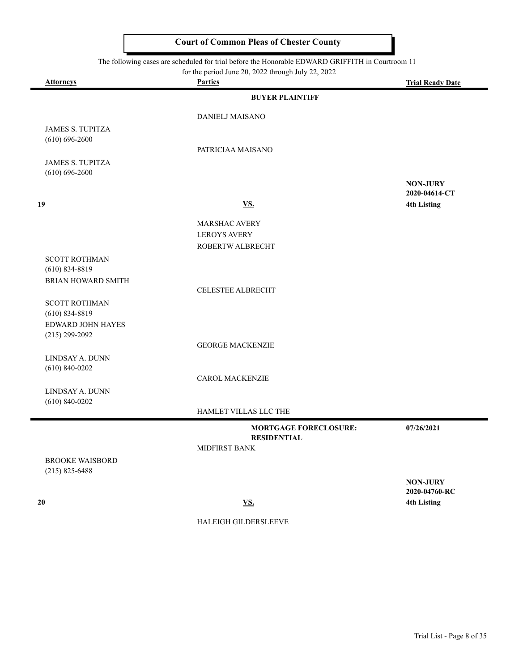The following cases are scheduled for trial before the Honorable EDWARD GRIFFITH in Courtroom 11

| for the period June 20, 2022 through July 22, 2022 |  |  |  |
|----------------------------------------------------|--|--|--|

| <b>Attorneys</b>                        | For the period state $20, 2022$ unough stay $22, 2022$<br><b>Parties</b> | <b>Trial Ready Date</b>          |
|-----------------------------------------|--------------------------------------------------------------------------|----------------------------------|
|                                         | <b>BUYER PLAINTIFF</b>                                                   |                                  |
|                                         | <b>DANIELJ MAISANO</b>                                                   |                                  |
| <b>JAMES S. TUPITZA</b>                 |                                                                          |                                  |
| $(610) 696 - 2600$                      | PATRICIAA MAISANO                                                        |                                  |
| <b>JAMES S. TUPITZA</b>                 |                                                                          |                                  |
| $(610) 696 - 2600$                      |                                                                          |                                  |
|                                         |                                                                          | <b>NON-JURY</b><br>2020-04614-CT |
| 19                                      | <u>VS.</u>                                                               | <b>4th Listing</b>               |
|                                         |                                                                          |                                  |
|                                         | MARSHAC AVERY<br><b>LEROYS AVERY</b>                                     |                                  |
|                                         | ROBERTW ALBRECHT                                                         |                                  |
| <b>SCOTT ROTHMAN</b>                    |                                                                          |                                  |
| $(610)$ 834-8819                        |                                                                          |                                  |
| BRIAN HOWARD SMITH                      | CELESTEE ALBRECHT                                                        |                                  |
| <b>SCOTT ROTHMAN</b>                    |                                                                          |                                  |
| $(610)$ 834-8819                        |                                                                          |                                  |
| EDWARD JOHN HAYES<br>$(215) 299 - 2092$ |                                                                          |                                  |
|                                         | <b>GEORGE MACKENZIE</b>                                                  |                                  |
| LINDSAY A. DUNN                         |                                                                          |                                  |
| $(610) 840 - 0202$                      |                                                                          |                                  |
| LINDSAY A. DUNN                         | <b>CAROL MACKENZIE</b>                                                   |                                  |
| $(610) 840 - 0202$                      |                                                                          |                                  |
|                                         | HAMLET VILLAS LLC THE                                                    |                                  |
|                                         | <b>MORTGAGE FORECLOSURE:</b>                                             | 07/26/2021                       |
|                                         | <b>RESIDENTIAL</b><br>MIDFIRST BANK                                      |                                  |
| <b>BROOKE WAISBORD</b>                  |                                                                          |                                  |
| $(215)$ 825-6488                        |                                                                          |                                  |
|                                         |                                                                          | <b>NON-JURY</b><br>2020-04760-RC |
| $20\,$                                  | <b>VS.</b>                                                               | <b>4th Listing</b>               |
|                                         |                                                                          |                                  |
|                                         | HALEIGH GILDERSLEEVE                                                     |                                  |
|                                         |                                                                          |                                  |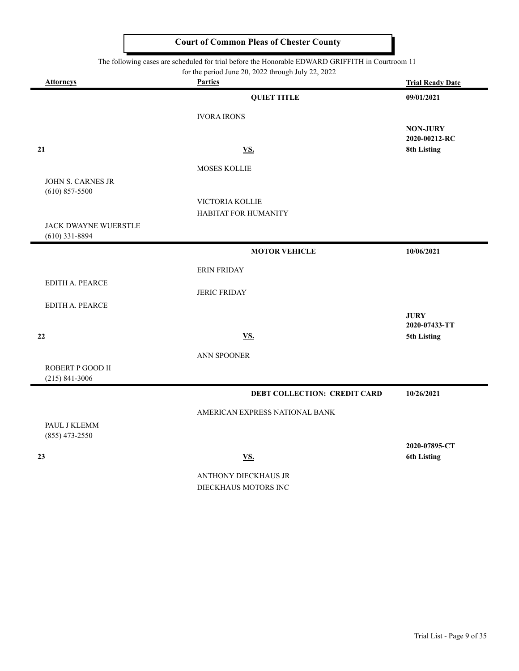| The following cases are scheduled for trial before the Honorable EDWARD GRIFFITH in Courtroom 11 |  |
|--------------------------------------------------------------------------------------------------|--|
|--------------------------------------------------------------------------------------------------|--|

for the period June 20, 2022 through July 22, 2022

| <b>Attorneys</b>                         | For the period sune 20, 2022 unough surf 22, 2022<br><b>Parties</b> | <b>Trial Ready Date</b>                         |
|------------------------------------------|---------------------------------------------------------------------|-------------------------------------------------|
|                                          | <b>QUIET TITLE</b>                                                  | 09/01/2021                                      |
|                                          | <b>IVORA IRONS</b>                                                  |                                                 |
| 21                                       | <b>VS.</b>                                                          | <b>NON-JURY</b><br>2020-00212-RC<br>8th Listing |
|                                          | MOSES KOLLIE                                                        |                                                 |
| JOHN S. CARNES JR<br>$(610)$ 857-5500    | VICTORIA KOLLIE                                                     |                                                 |
|                                          | HABITAT FOR HUMANITY                                                |                                                 |
| JACK DWAYNE WUERSTLE<br>$(610)$ 331-8894 |                                                                     |                                                 |
|                                          | <b>MOTOR VEHICLE</b>                                                | 10/06/2021                                      |
|                                          | <b>ERIN FRIDAY</b>                                                  |                                                 |
| EDITH A. PEARCE                          | <b>JERIC FRIDAY</b>                                                 |                                                 |
| EDITH A. PEARCE                          |                                                                     |                                                 |
| 22                                       | <b>VS.</b>                                                          | <b>JURY</b><br>2020-07433-TT<br>5th Listing     |
|                                          | ANN SPOONER                                                         |                                                 |
| ROBERT P GOOD II<br>$(215) 841 - 3006$   |                                                                     |                                                 |
|                                          | DEBT COLLECTION: CREDIT CARD                                        | 10/26/2021                                      |
|                                          | AMERICAN EXPRESS NATIONAL BANK                                      |                                                 |
| PAUL J KLEMM<br>$(855)$ 473-2550         |                                                                     |                                                 |
| 23                                       | <b>VS.</b>                                                          | 2020-07895-CT<br><b>6th Listing</b>             |
|                                          | ANTHONY DIECKHAUS JR<br>DIECKHAUS MOTORS INC                        |                                                 |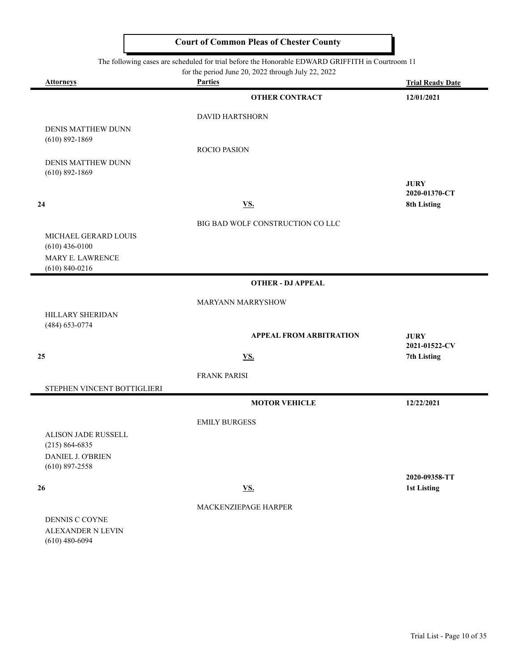The following cases are scheduled for trial before the Honorable EDWARD GRIFFITH in Courtroom 11

|                                              | for the period June 20, 2022 through July 22, 2022 |                              |
|----------------------------------------------|----------------------------------------------------|------------------------------|
| <b>Attorneys</b>                             | <b>Parties</b>                                     | <b>Trial Ready Date</b>      |
|                                              | <b>OTHER CONTRACT</b>                              | 12/01/2021                   |
|                                              | <b>DAVID HARTSHORN</b>                             |                              |
| <b>DENIS MATTHEW DUNN</b>                    |                                                    |                              |
| $(610)$ 892-1869                             | <b>ROCIO PASION</b>                                |                              |
| DENIS MATTHEW DUNN                           |                                                    |                              |
| $(610) 892 - 1869$                           |                                                    |                              |
|                                              |                                                    | <b>JURY</b><br>2020-01370-CT |
| 24                                           | <u>VS.</u>                                         | 8th Listing                  |
|                                              |                                                    |                              |
| MICHAEL GERARD LOUIS                         | BIG BAD WOLF CONSTRUCTION CO LLC                   |                              |
| $(610)$ 436-0100                             |                                                    |                              |
| MARY E. LAWRENCE                             |                                                    |                              |
| $(610) 840 - 0216$                           |                                                    |                              |
|                                              | <b>OTHER - DJ APPEAL</b>                           |                              |
|                                              | MARYANN MARRYSHOW                                  |                              |
| HILLARY SHERIDAN                             |                                                    |                              |
| (484) 653-0774                               | <b>APPEAL FROM ARBITRATION</b>                     | <b>JURY</b>                  |
| 25                                           | VS.                                                | 2021-01522-CV<br>7th Listing |
|                                              |                                                    |                              |
|                                              | <b>FRANK PARISI</b>                                |                              |
| STEPHEN VINCENT BOTTIGLIERI                  |                                                    |                              |
|                                              | <b>MOTOR VEHICLE</b>                               | 12/22/2021                   |
|                                              | <b>EMILY BURGESS</b>                               |                              |
| ALISON JADE RUSSELL                          |                                                    |                              |
| $(215) 864 - 6835$<br>DANIEL J. O'BRIEN      |                                                    |                              |
| $(610)$ 897-2558                             |                                                    |                              |
|                                              |                                                    | 2020-09358-TT                |
| 26                                           | $\underline{\mathbf{V}}\underline{\mathbf{S}}$ .   | <b>1st Listing</b>           |
|                                              | MACKENZIEPAGE HARPER                               |                              |
| DENNIS C COYNE                               |                                                    |                              |
| <b>ALEXANDER N LEVIN</b><br>$(610)$ 480-6094 |                                                    |                              |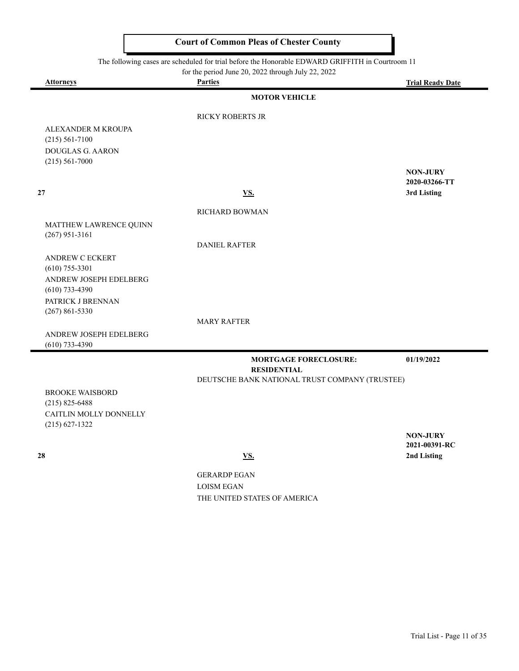$\blacksquare$ 

| The following cases are scheduled for trial before the Honorable EDWARD GRIFFITH in Courtroom 11 |                                                                      |                                  |
|--------------------------------------------------------------------------------------------------|----------------------------------------------------------------------|----------------------------------|
| <b>Attorneys</b>                                                                                 | for the period June 20, 2022 through July 22, 2022<br><b>Parties</b> | <b>Trial Ready Date</b>          |
|                                                                                                  | <b>MOTOR VEHICLE</b>                                                 |                                  |
|                                                                                                  | <b>RICKY ROBERTS JR</b>                                              |                                  |
| ALEXANDER M KROUPA<br>$(215) 561 - 7100$                                                         |                                                                      |                                  |
| DOUGLAS G. AARON<br>$(215) 561 - 7000$                                                           |                                                                      |                                  |
|                                                                                                  |                                                                      | <b>NON-JURY</b><br>2020-03266-TT |
| 27                                                                                               | <u>VS.</u>                                                           | 3rd Listing                      |
|                                                                                                  | RICHARD BOWMAN                                                       |                                  |
| MATTHEW LAWRENCE QUINN<br>$(267)$ 951-3161                                                       |                                                                      |                                  |
|                                                                                                  | <b>DANIEL RAFTER</b>                                                 |                                  |
| <b>ANDREW C ECKERT</b>                                                                           |                                                                      |                                  |
| $(610)$ 755-3301<br>ANDREW JOSEPH EDELBERG                                                       |                                                                      |                                  |
| $(610)$ 733-4390                                                                                 |                                                                      |                                  |
| PATRICK J BRENNAN                                                                                |                                                                      |                                  |
| $(267) 861 - 5330$                                                                               |                                                                      |                                  |
|                                                                                                  | <b>MARY RAFTER</b>                                                   |                                  |
| ANDREW JOSEPH EDELBERG<br>$(610)$ 733-4390                                                       |                                                                      |                                  |
|                                                                                                  | <b>MORTGAGE FORECLOSURE:</b><br><b>RESIDENTIAL</b>                   | 01/19/2022                       |
|                                                                                                  | DEUTSCHE BANK NATIONAL TRUST COMPANY (TRUSTEE)                       |                                  |
| <b>BROOKE WAISBORD</b><br>$(215)$ 825-6488                                                       |                                                                      |                                  |
| CAITLIN MOLLY DONNELLY                                                                           |                                                                      |                                  |
| $(215) 627 - 1322$                                                                               |                                                                      |                                  |
|                                                                                                  |                                                                      | <b>NON-JURY</b><br>2021-00391-RC |
| 28                                                                                               | VS.                                                                  | 2nd Listing                      |

GERARDP EGAN LOISM EGAN THE UNITED STATES OF AMERICA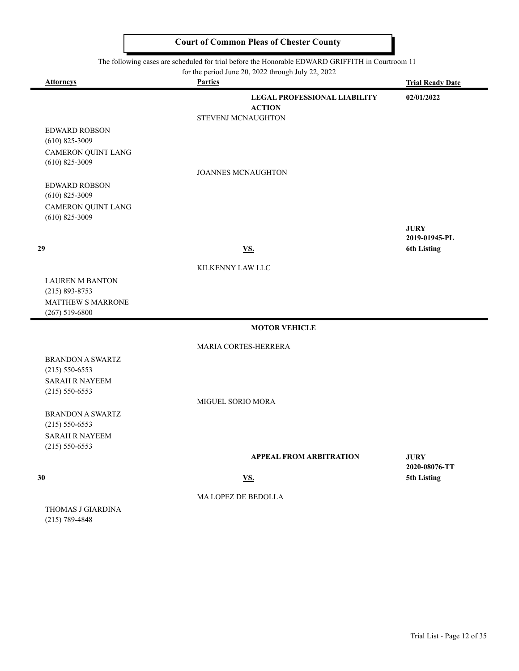The following cases are scheduled for trial before the Honorable EDWARD GRIFFITH in Courtroom 11

for the period June 20, 2022 through July 22, 2022 **Attorneys Parties Trial Ready Date LEGAL PROFESSIONAL LIABILITY 02/01/2022 ACTION** STEVENJ MCNAUGHTON EDWARD ROBSON (610) 825-3009 CAMERON QUINT LANG (610) 825-3009 JOANNES MCNAUGHTON EDWARD ROBSON (610) 825-3009 CAMERON QUINT LANG (610) 825-3009 **JURY 2019-01945-PL 29 VS. 6th Listing** KILKENNY LAW LLC LAUREN M BANTON (215) 893-8753 MATTHEW S MARRONE (267) 519-6800 **MOTOR VEHICLE** MARIA CORTES-HERRERA BRANDON A SWARTZ (215) 550-6553 SARAH R NAYEEM (215) 550-6553 MIGUEL SORIO MORA BRANDON A SWARTZ (215) 550-6553 SARAH R NAYEEM (215) 550-6553 **APPEAL FROM ARBITRATION JURY 2020-08076-TT 30 VS. 5th Listing** MA LOPEZ DE BEDOLLA THOMAS J GIARDINA (215) 789-4848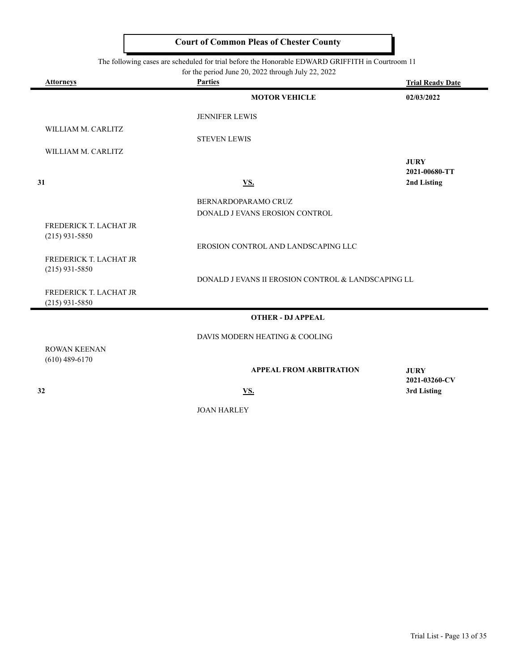The following cases are scheduled for trial before the Honorable EDWARD GRIFFITH in Courtroom 11

| <b>Attorneys</b>                           | <b>Parties</b>                                     | <b>Trial Ready Date</b>      |
|--------------------------------------------|----------------------------------------------------|------------------------------|
|                                            | <b>MOTOR VEHICLE</b>                               | 02/03/2022                   |
|                                            | <b>JENNIFER LEWIS</b>                              |                              |
| WILLIAM M. CARLITZ                         | <b>STEVEN LEWIS</b>                                |                              |
| WILLIAM M. CARLITZ                         |                                                    |                              |
|                                            |                                                    | <b>JURY</b><br>2021-00680-TT |
| 31                                         | <u>VS.</u>                                         | 2nd Listing                  |
|                                            | BERNARDOPARAMO CRUZ                                |                              |
|                                            | DONALD J EVANS EROSION CONTROL                     |                              |
| FREDERICK T. LACHAT JR<br>$(215)$ 931-5850 |                                                    |                              |
|                                            | EROSION CONTROL AND LANDSCAPING LLC                |                              |
| FREDERICK T. LACHAT JR<br>$(215)$ 931-5850 |                                                    |                              |
|                                            | DONALD J EVANS II EROSION CONTROL & LANDSCAPING LL |                              |
| FREDERICK T. LACHAT JR<br>$(215)$ 931-5850 |                                                    |                              |
|                                            | <b>OTHER - DJ APPEAL</b>                           |                              |
|                                            | DAVIS MODERN HEATING & COOLING                     |                              |
| <b>ROWAN KEENAN</b><br>$(610)$ 489-6170    |                                                    |                              |
|                                            | <b>APPEAL FROM ARBITRATION</b>                     | <b>JURY</b><br>2021-03260-CV |
| 32                                         | VS.                                                | 3rd Listing                  |

JOAN HARLEY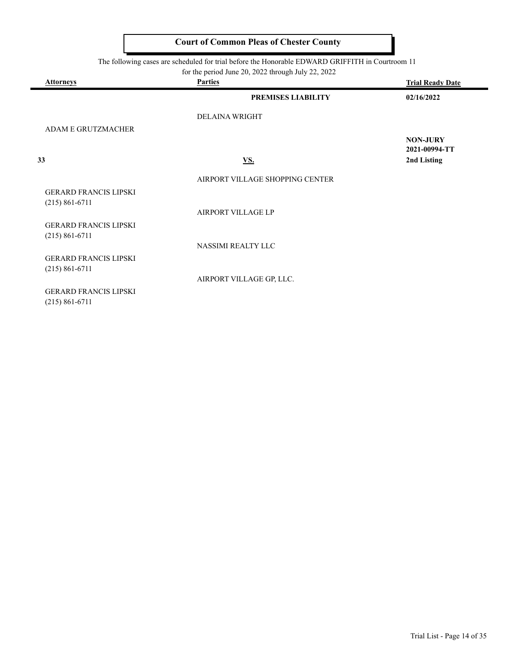|  |  |  | The following cases are scheduled for trial before the Honorable EDWARD GRIFFITH in Courtroom 11 |
|--|--|--|--------------------------------------------------------------------------------------------------|
|--|--|--|--------------------------------------------------------------------------------------------------|

 $\equiv$ 

| <b>Attorneys</b>                                   | <b>Parties</b>                  | <b>Trial Ready Date</b>          |
|----------------------------------------------------|---------------------------------|----------------------------------|
|                                                    | PREMISES LIABILITY              | 02/16/2022                       |
|                                                    | <b>DELAINA WRIGHT</b>           |                                  |
| <b>ADAM E GRUTZMACHER</b>                          |                                 |                                  |
|                                                    |                                 | <b>NON-JURY</b><br>2021-00994-TT |
| 33                                                 | <b>VS.</b>                      | 2nd Listing                      |
|                                                    | AIRPORT VILLAGE SHOPPING CENTER |                                  |
| <b>GERARD FRANCIS LIPSKI</b><br>$(215) 861 - 6711$ |                                 |                                  |
|                                                    | AIRPORT VILLAGE LP              |                                  |
| <b>GERARD FRANCIS LIPSKI</b><br>$(215) 861 - 6711$ |                                 |                                  |
|                                                    | <b>NASSIMI REALTY LLC</b>       |                                  |
| <b>GERARD FRANCIS LIPSKI</b><br>$(215) 861 - 6711$ |                                 |                                  |
|                                                    | AIRPORT VILLAGE GP, LLC.        |                                  |
| <b>GERARD FRANCIS LIPSKI</b><br>$(215) 861 - 6711$ |                                 |                                  |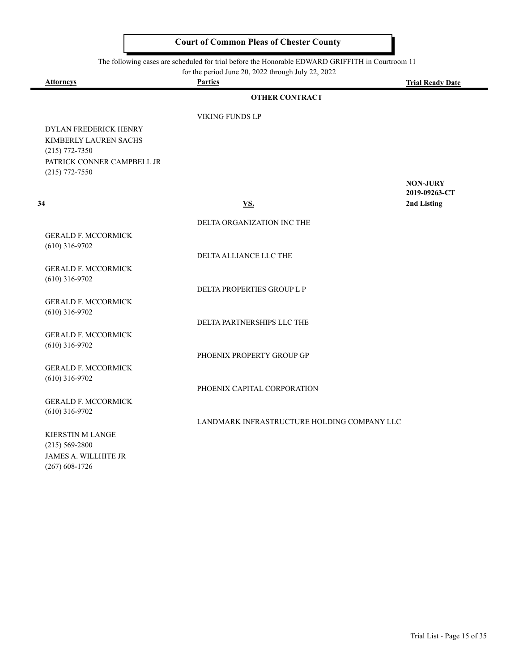The following cases are scheduled for trial before the Honorable EDWARD GRIFFITH in Courtroom 11

for the period June 20, 2022 through July 22, 2022

|                                                | for the period June 20, 2022 through July 22, 2022<br><b>Parties</b> |                         |
|------------------------------------------------|----------------------------------------------------------------------|-------------------------|
| <u>Attorneys</u>                               |                                                                      | <b>Trial Ready Date</b> |
|                                                | <b>OTHER CONTRACT</b>                                                |                         |
|                                                | VIKING FUNDS LP                                                      |                         |
| DYLAN FREDERICK HENRY                          |                                                                      |                         |
| KIMBERLY LAUREN SACHS                          |                                                                      |                         |
| $(215)$ 772-7350                               |                                                                      |                         |
| PATRICK CONNER CAMPBELL JR                     |                                                                      |                         |
| $(215)$ 772-7550                               |                                                                      | <b>NON-JURY</b>         |
|                                                |                                                                      | 2019-09263-CT           |
| 34                                             | <b>VS.</b>                                                           | 2nd Listing             |
|                                                |                                                                      |                         |
|                                                | DELTA ORGANIZATION INC THE                                           |                         |
| <b>GERALD F. MCCORMICK</b><br>$(610)$ 316-9702 |                                                                      |                         |
|                                                | DELTA ALLIANCE LLC THE                                               |                         |
| <b>GERALD F. MCCORMICK</b>                     |                                                                      |                         |
| $(610)$ 316-9702                               |                                                                      |                         |
|                                                | DELTA PROPERTIES GROUP L P                                           |                         |
| <b>GERALD F. MCCORMICK</b>                     |                                                                      |                         |
| $(610)$ 316-9702                               | DELTA PARTNERSHIPS LLC THE                                           |                         |
| <b>GERALD F. MCCORMICK</b>                     |                                                                      |                         |
| $(610)$ 316-9702                               |                                                                      |                         |
|                                                | PHOENIX PROPERTY GROUP GP                                            |                         |
| <b>GERALD F. MCCORMICK</b>                     |                                                                      |                         |
| $(610)$ 316-9702                               |                                                                      |                         |
|                                                | PHOENIX CAPITAL CORPORATION                                          |                         |
| <b>GERALD F. MCCORMICK</b><br>$(610)$ 316-9702 |                                                                      |                         |
|                                                | LANDMARK INFRASTRUCTURE HOLDING COMPANY LLC                          |                         |
| <b>KIERSTIN M LANGE</b>                        |                                                                      |                         |
| $(215) 569 - 2800$                             |                                                                      |                         |
| <b>JAMES A. WILLHITE JR</b>                    |                                                                      |                         |
| $(267)$ 608-1726                               |                                                                      |                         |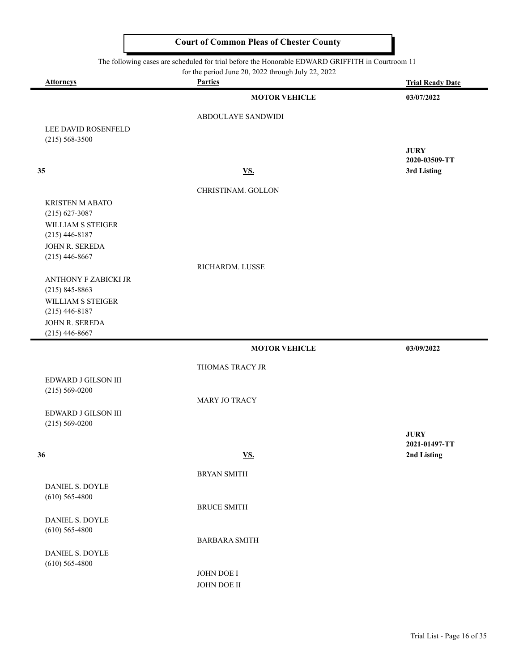The following cases are scheduled for trial before the Honorable EDWARD GRIFFITH in Courtroom 11

| <b>Attorneys</b>                           | for the period June 20, 2022 through July 22, 2022<br><b>Parties</b> |                         |
|--------------------------------------------|----------------------------------------------------------------------|-------------------------|
|                                            |                                                                      | <b>Trial Ready Date</b> |
|                                            | <b>MOTOR VEHICLE</b>                                                 | 03/07/2022              |
|                                            | ABDOULAYE SANDWIDI                                                   |                         |
| LEE DAVID ROSENFELD                        |                                                                      |                         |
| $(215) 568 - 3500$                         |                                                                      |                         |
|                                            |                                                                      | <b>JURY</b>             |
|                                            |                                                                      | 2020-03509-TT           |
| 35                                         | <b>VS.</b>                                                           | 3rd Listing             |
|                                            | CHRISTINAM. GOLLON                                                   |                         |
| <b>KRISTEN M ABATO</b>                     |                                                                      |                         |
| $(215)$ 627-3087                           |                                                                      |                         |
| WILLIAM S STEIGER                          |                                                                      |                         |
| $(215)$ 446-8187                           |                                                                      |                         |
| JOHN R. SEREDA                             |                                                                      |                         |
| $(215)$ 446-8667                           | RICHARDM. LUSSE                                                      |                         |
|                                            |                                                                      |                         |
| ANTHONY F ZABICKI JR<br>$(215) 845 - 8863$ |                                                                      |                         |
| WILLIAM S STEIGER                          |                                                                      |                         |
| $(215)$ 446-8187                           |                                                                      |                         |
| JOHN R. SEREDA                             |                                                                      |                         |
| $(215)$ 446-8667                           |                                                                      |                         |
|                                            | <b>MOTOR VEHICLE</b>                                                 | 03/09/2022              |
|                                            |                                                                      |                         |
|                                            | THOMAS TRACY JR                                                      |                         |
| EDWARD J GILSON III<br>$(215) 569 - 0200$  |                                                                      |                         |
|                                            | MARY JO TRACY                                                        |                         |
| EDWARD J GILSON III                        |                                                                      |                         |
| $(215) 569 - 0200$                         |                                                                      |                         |
|                                            |                                                                      | <b>JURY</b>             |
|                                            |                                                                      | 2021-01497-TT           |
| 36                                         | <b>VS.</b>                                                           | 2nd Listing             |
|                                            | <b>BRYAN SMITH</b>                                                   |                         |
| DANIEL S. DOYLE                            |                                                                      |                         |
| $(610)$ 565-4800                           |                                                                      |                         |
|                                            | <b>BRUCE SMITH</b>                                                   |                         |
| DANIEL S. DOYLE                            |                                                                      |                         |
| $(610)$ 565-4800                           |                                                                      |                         |
|                                            | <b>BARBARA SMITH</b>                                                 |                         |
| <b>DANIEL S. DOYLE</b>                     |                                                                      |                         |
|                                            |                                                                      |                         |
| $(610)$ 565-4800                           | JOHN DOE I                                                           |                         |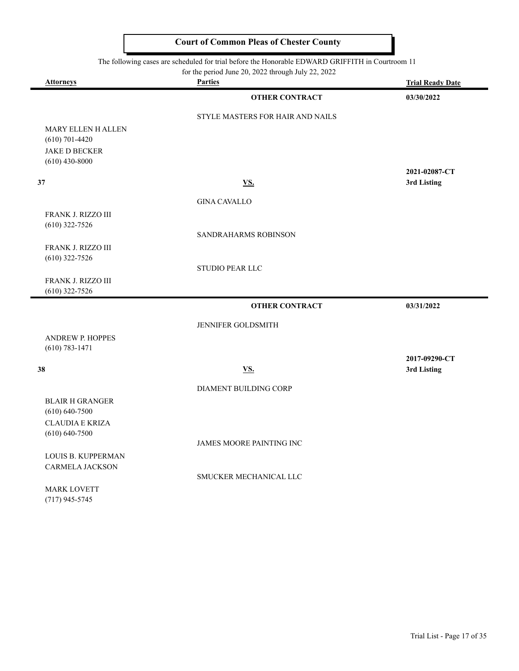| <b>Parties</b><br><b>Attorneys</b><br><b>OTHER CONTRACT</b><br><b>STYLE MASTERS FOR HAIR AND NAILS</b><br><b>MARY ELLEN H ALLEN</b><br>$(610)$ 701-4420<br><b>JAKE D BECKER</b><br>$(610)$ 430-8000<br><u>VS.</u><br><b>GINA CAVALLO</b><br>FRANK J. RIZZO III<br>$(610)$ 322-7526<br>SANDRAHARMS ROBINSON<br>FRANK J. RIZZO III<br>$(610)$ 322-7526<br><b>STUDIO PEAR LLC</b><br>FRANK J. RIZZO III<br>$(610)$ 322-7526<br><b>OTHER CONTRACT</b> | <b>Trial Ready Date</b><br>03/30/2022 |
|---------------------------------------------------------------------------------------------------------------------------------------------------------------------------------------------------------------------------------------------------------------------------------------------------------------------------------------------------------------------------------------------------------------------------------------------------|---------------------------------------|
|                                                                                                                                                                                                                                                                                                                                                                                                                                                   |                                       |
|                                                                                                                                                                                                                                                                                                                                                                                                                                                   |                                       |
|                                                                                                                                                                                                                                                                                                                                                                                                                                                   |                                       |
|                                                                                                                                                                                                                                                                                                                                                                                                                                                   |                                       |
|                                                                                                                                                                                                                                                                                                                                                                                                                                                   |                                       |
| 37                                                                                                                                                                                                                                                                                                                                                                                                                                                |                                       |
|                                                                                                                                                                                                                                                                                                                                                                                                                                                   |                                       |
|                                                                                                                                                                                                                                                                                                                                                                                                                                                   | 2021-02087-CT                         |
|                                                                                                                                                                                                                                                                                                                                                                                                                                                   | 3rd Listing                           |
|                                                                                                                                                                                                                                                                                                                                                                                                                                                   |                                       |
|                                                                                                                                                                                                                                                                                                                                                                                                                                                   |                                       |
|                                                                                                                                                                                                                                                                                                                                                                                                                                                   |                                       |
|                                                                                                                                                                                                                                                                                                                                                                                                                                                   |                                       |
|                                                                                                                                                                                                                                                                                                                                                                                                                                                   |                                       |
|                                                                                                                                                                                                                                                                                                                                                                                                                                                   |                                       |
|                                                                                                                                                                                                                                                                                                                                                                                                                                                   |                                       |
|                                                                                                                                                                                                                                                                                                                                                                                                                                                   |                                       |
|                                                                                                                                                                                                                                                                                                                                                                                                                                                   | 03/31/2022                            |
|                                                                                                                                                                                                                                                                                                                                                                                                                                                   |                                       |
| JENNIFER GOLDSMITH                                                                                                                                                                                                                                                                                                                                                                                                                                |                                       |
| <b>ANDREW P. HOPPES</b>                                                                                                                                                                                                                                                                                                                                                                                                                           |                                       |
| $(610) 783 - 1471$                                                                                                                                                                                                                                                                                                                                                                                                                                |                                       |
| 38<br><b>VS.</b>                                                                                                                                                                                                                                                                                                                                                                                                                                  | 2017-09290-CT<br>3rd Listing          |
|                                                                                                                                                                                                                                                                                                                                                                                                                                                   |                                       |
| DIAMENT BUILDING CORP                                                                                                                                                                                                                                                                                                                                                                                                                             |                                       |
| <b>BLAIR H GRANGER</b>                                                                                                                                                                                                                                                                                                                                                                                                                            |                                       |
| $(610) 640 - 7500$                                                                                                                                                                                                                                                                                                                                                                                                                                |                                       |
| <b>CLAUDIA E KRIZA</b>                                                                                                                                                                                                                                                                                                                                                                                                                            |                                       |
| $(610) 640 - 7500$                                                                                                                                                                                                                                                                                                                                                                                                                                |                                       |
| JAMES MOORE PAINTING INC                                                                                                                                                                                                                                                                                                                                                                                                                          |                                       |
| LOUIS B. KUPPERMAN<br><b>CARMELA JACKSON</b>                                                                                                                                                                                                                                                                                                                                                                                                      |                                       |
| SMUCKER MECHANICAL LLC                                                                                                                                                                                                                                                                                                                                                                                                                            |                                       |
| <b>MARK LOVETT</b>                                                                                                                                                                                                                                                                                                                                                                                                                                |                                       |

(717) 945-5745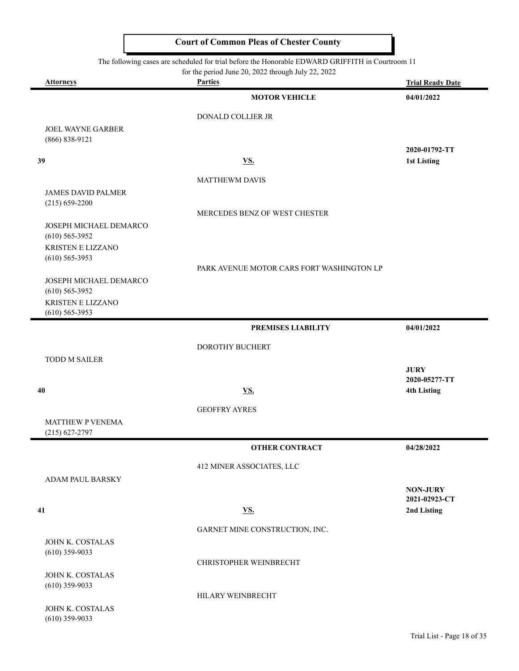|                                                 | The following cases are scheduled for trial before the Honorable EDWARD GRIFFITH in Courtroom 11<br>for the period June 20, 2022 through July 22, 2022 |                                  |
|-------------------------------------------------|--------------------------------------------------------------------------------------------------------------------------------------------------------|----------------------------------|
| <b>Attorneys</b>                                | <b>Parties</b>                                                                                                                                         | <b>Trial Ready Date</b>          |
|                                                 | <b>MOTOR VEHICLE</b>                                                                                                                                   | 04/01/2022                       |
|                                                 | DONALD COLLIER JR                                                                                                                                      |                                  |
| JOEL WAYNE GARBER<br>(866) 838-9121             |                                                                                                                                                        |                                  |
| 39                                              | <b>VS.</b>                                                                                                                                             | 2020-01792-TT<br>1st Listing     |
|                                                 | <b>MATTHEWM DAVIS</b>                                                                                                                                  |                                  |
| <b>JAMES DAVID PALMER</b><br>$(215) 659 - 2200$ | MERCEDES BENZ OF WEST CHESTER                                                                                                                          |                                  |
| JOSEPH MICHAEL DEMARCO<br>$(610)$ 565-3952      |                                                                                                                                                        |                                  |
| <b>KRISTEN E LIZZANO</b><br>$(610)$ 565-3953    | PARK AVENUE MOTOR CARS FORT WASHINGTON LP                                                                                                              |                                  |
| JOSEPH MICHAEL DEMARCO<br>$(610)$ 565-3952      |                                                                                                                                                        |                                  |
| KRISTEN E LIZZANO<br>$(610)$ 565-3953           |                                                                                                                                                        |                                  |
|                                                 | <b>PREMISES LIABILITY</b>                                                                                                                              | 04/01/2022                       |
|                                                 | DOROTHY BUCHERT                                                                                                                                        |                                  |
| <b>TODD M SAILER</b>                            |                                                                                                                                                        | <b>JURY</b>                      |
|                                                 |                                                                                                                                                        | 2020-05277-TT                    |
| 40                                              | <u>VS.</u>                                                                                                                                             | <b>4th Listing</b>               |
|                                                 | <b>GEOFFRY AYRES</b>                                                                                                                                   |                                  |
| <b>MATTHEW P VENEMA</b><br>$(215)$ 627-2797     |                                                                                                                                                        |                                  |
|                                                 | <b>OTHER CONTRACT</b>                                                                                                                                  | 04/28/2022                       |
|                                                 | 412 MINER ASSOCIATES, LLC                                                                                                                              |                                  |
| ADAM PAUL BARSKY                                |                                                                                                                                                        |                                  |
|                                                 |                                                                                                                                                        | <b>NON-JURY</b><br>2021-02923-CT |
| 41                                              | <b>VS.</b>                                                                                                                                             | 2nd Listing                      |
|                                                 | GARNET MINE CONSTRUCTION, INC.                                                                                                                         |                                  |
| JOHN K. COSTALAS<br>$(610)$ 359-9033            |                                                                                                                                                        |                                  |
|                                                 | CHRISTOPHER WEINBRECHT                                                                                                                                 |                                  |
| JOHN K. COSTALAS<br>$(610)$ 359-9033            |                                                                                                                                                        |                                  |
|                                                 | HILARY WEINBRECHT                                                                                                                                      |                                  |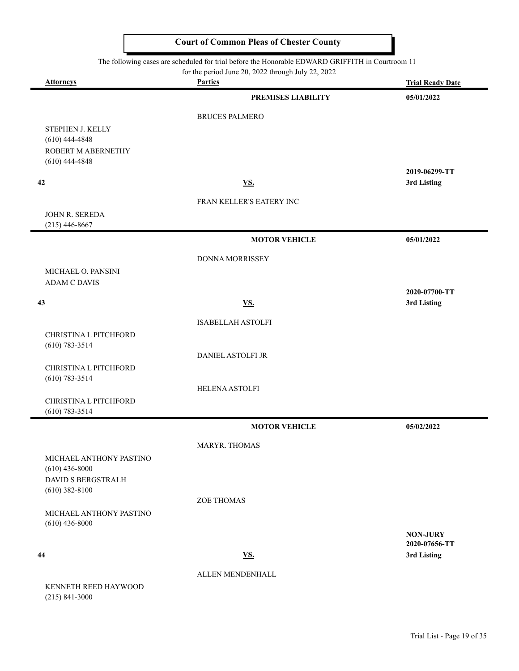|  |  |  | The following cases are scheduled for trial before the Honorable EDWARD GRIFFITH in Courtroom 11 |
|--|--|--|--------------------------------------------------------------------------------------------------|
|--|--|--|--------------------------------------------------------------------------------------------------|

| <b>Attorneys</b>                            | for the period June 20, 2022 through July 22, 2022<br><b>Parties</b> | <b>Trial Ready Date</b>      |
|---------------------------------------------|----------------------------------------------------------------------|------------------------------|
|                                             | <b>PREMISES LIABILITY</b>                                            | 05/01/2022                   |
|                                             | <b>BRUCES PALMERO</b>                                                |                              |
| STEPHEN J. KELLY                            |                                                                      |                              |
| $(610)$ 444-4848                            |                                                                      |                              |
| ROBERT M ABERNETHY<br>$(610)$ 444-4848      |                                                                      |                              |
|                                             |                                                                      | 2019-06299-TT                |
| 42                                          | <b>VS.</b>                                                           | 3rd Listing                  |
|                                             | FRAN KELLER'S EATERY INC                                             |                              |
| JOHN R. SEREDA                              |                                                                      |                              |
| $(215)$ 446-8667                            |                                                                      |                              |
|                                             | <b>MOTOR VEHICLE</b>                                                 | 05/01/2022                   |
|                                             | DONNA MORRISSEY                                                      |                              |
| MICHAEL O. PANSINI<br><b>ADAM C DAVIS</b>   |                                                                      |                              |
|                                             |                                                                      | 2020-07700-TT                |
| 43                                          | <b>VS.</b>                                                           | 3rd Listing                  |
|                                             | <b>ISABELLAH ASTOLFI</b>                                             |                              |
| CHRISTINA L PITCHFORD                       |                                                                      |                              |
| $(610) 783 - 3514$                          | DANIEL ASTOLFI JR                                                    |                              |
| CHRISTINA L PITCHFORD                       |                                                                      |                              |
| $(610) 783 - 3514$                          |                                                                      |                              |
|                                             | <b>HELENA ASTOLFI</b>                                                |                              |
| CHRISTINA L PITCHFORD<br>$(610) 783 - 3514$ |                                                                      |                              |
|                                             | <b>MOTOR VEHICLE</b>                                                 | 05/02/2022                   |
|                                             | MARYR. THOMAS                                                        |                              |
| MICHAEL ANTHONY PASTINO                     |                                                                      |                              |
| $(610)$ 436-8000<br>DAVID S BERGSTRALH      |                                                                      |                              |
| $(610)$ 382-8100                            |                                                                      |                              |
|                                             | <b>ZOE THOMAS</b>                                                    |                              |
| MICHAEL ANTHONY PASTINO<br>$(610)$ 436-8000 |                                                                      |                              |
|                                             |                                                                      | <b>NON-JURY</b>              |
| 44                                          | <b>VS.</b>                                                           | 2020-07656-TT<br>3rd Listing |
|                                             |                                                                      |                              |
|                                             | ALLEN MENDENHALL                                                     |                              |
| KENNETH REED HAYWOOD                        |                                                                      |                              |

(215) 841-3000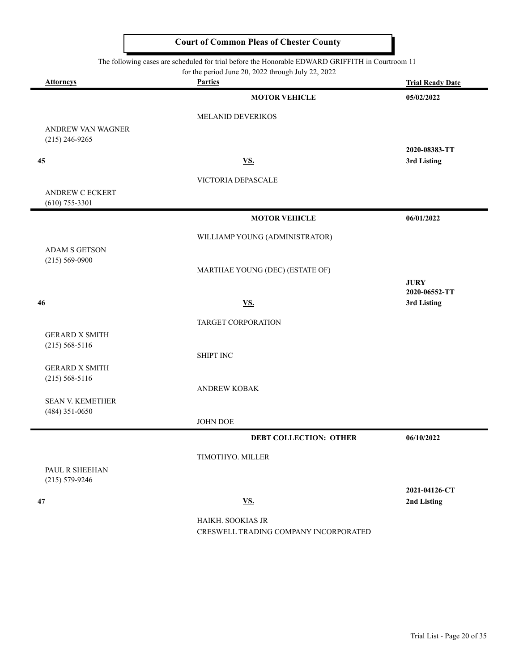The following cases are scheduled for trial before the Honorable EDWARD GRIFFITH in Courtroom 11

for the period June 20, 2022 through July 22, 2022

|                                             | for the period June 20, 2022 through July $22$ , $2022$ |                              |
|---------------------------------------------|---------------------------------------------------------|------------------------------|
| Attorneys                                   | <b>Parties</b>                                          | <b>Trial Ready Date</b>      |
|                                             | <b>MOTOR VEHICLE</b>                                    | 05/02/2022                   |
|                                             | MELANID DEVERIKOS                                       |                              |
| ANDREW VAN WAGNER                           |                                                         |                              |
| $(215)$ 246-9265                            |                                                         |                              |
| 45                                          | <b>VS.</b>                                              | 2020-08383-TT<br>3rd Listing |
|                                             |                                                         |                              |
|                                             | VICTORIA DEPASCALE                                      |                              |
| <b>ANDREW C ECKERT</b><br>$(610)$ 755-3301  |                                                         |                              |
|                                             | <b>MOTOR VEHICLE</b>                                    | 06/01/2022                   |
|                                             |                                                         |                              |
| <b>ADAM S GETSON</b>                        | WILLIAMP YOUNG (ADMINISTRATOR)                          |                              |
| $(215) 569 - 0900$                          |                                                         |                              |
|                                             | MARTHAE YOUNG (DEC) (ESTATE OF)                         |                              |
|                                             |                                                         | <b>JURY</b><br>2020-06552-TT |
| 46                                          | <b>VS.</b>                                              | 3rd Listing                  |
|                                             | TARGET CORPORATION                                      |                              |
| <b>GERARD X SMITH</b>                       |                                                         |                              |
| $(215) 568 - 5116$                          |                                                         |                              |
|                                             | <b>SHIPT INC</b>                                        |                              |
| <b>GERARD X SMITH</b><br>$(215) 568 - 5116$ |                                                         |                              |
|                                             | <b>ANDREW KOBAK</b>                                     |                              |
| <b>SEAN V. KEMETHER</b>                     |                                                         |                              |
| $(484)$ 351-0650                            | JOHN DOE                                                |                              |
|                                             | <b>DEBT COLLECTION: OTHER</b>                           | 06/10/2022                   |
|                                             |                                                         |                              |
|                                             | TIMOTHYO. MILLER                                        |                              |
| PAUL R SHEEHAN<br>$(215) 579 - 9246$        |                                                         |                              |
|                                             |                                                         | 2021-04126-CT                |
| 47                                          | <b>VS.</b>                                              | 2nd Listing                  |
|                                             | HAIKH. SOOKIAS JR                                       |                              |
|                                             | CRESWELL TRADING COMPANY INCORPORATED                   |                              |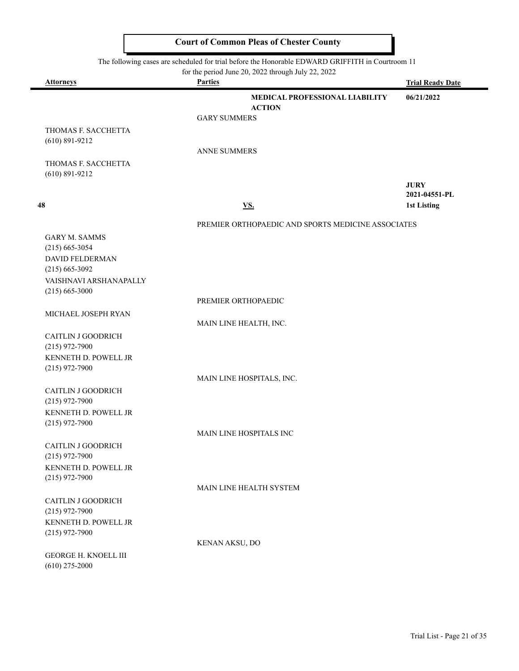The following cases are scheduled for trial before the Honorable EDWARD GRIFFITH in Courtroom 11

۰

| <u>Attorneys</u>                          | <b>Parties</b>         | for the period June 20, 2022 through July 22, 2022 | <b>Trial Ready Date</b>      |
|-------------------------------------------|------------------------|----------------------------------------------------|------------------------------|
|                                           |                        | MEDICAL PROFESSIONAL LIABILITY                     | 06/21/2022                   |
|                                           |                        | <b>ACTION</b>                                      |                              |
|                                           | <b>GARY SUMMERS</b>    |                                                    |                              |
| THOMAS F. SACCHETTA<br>$(610) 891 - 9212$ |                        |                                                    |                              |
|                                           | <b>ANNE SUMMERS</b>    |                                                    |                              |
| THOMAS F. SACCHETTA                       |                        |                                                    |                              |
| $(610) 891 - 9212$                        |                        |                                                    |                              |
|                                           |                        |                                                    | <b>JURY</b><br>2021-04551-PL |
| 48                                        |                        | <b>VS.</b>                                         | 1st Listing                  |
|                                           |                        |                                                    |                              |
|                                           |                        | PREMIER ORTHOPAEDIC AND SPORTS MEDICINE ASSOCIATES |                              |
| <b>GARY M. SAMMS</b>                      |                        |                                                    |                              |
| $(215)$ 665-3054                          |                        |                                                    |                              |
| DAVID FELDERMAN<br>$(215) 665 - 3092$     |                        |                                                    |                              |
| VAISHNAVI ARSHANAPALLY                    |                        |                                                    |                              |
| $(215)$ 665-3000                          |                        |                                                    |                              |
|                                           | PREMIER ORTHOPAEDIC    |                                                    |                              |
| MICHAEL JOSEPH RYAN                       |                        |                                                    |                              |
|                                           | MAIN LINE HEALTH, INC. |                                                    |                              |
| CAITLIN J GOODRICH                        |                        |                                                    |                              |
| $(215)$ 972-7900<br>KENNETH D. POWELL JR  |                        |                                                    |                              |
| $(215)$ 972-7900                          |                        |                                                    |                              |
|                                           |                        | MAIN LINE HOSPITALS, INC.                          |                              |
| CAITLIN J GOODRICH                        |                        |                                                    |                              |
| $(215)$ 972-7900                          |                        |                                                    |                              |
| KENNETH D. POWELL JR                      |                        |                                                    |                              |
| $(215)$ 972-7900                          |                        | MAIN LINE HOSPITALS INC                            |                              |
| CAITLIN J GOODRICH                        |                        |                                                    |                              |
| $(215)$ 972-7900                          |                        |                                                    |                              |
| KENNETH D. POWELL JR                      |                        |                                                    |                              |
| $(215)$ 972-7900                          |                        |                                                    |                              |
|                                           |                        | MAIN LINE HEALTH SYSTEM                            |                              |
| CAITLIN J GOODRICH                        |                        |                                                    |                              |
| $(215)$ 972-7900<br>KENNETH D. POWELL JR  |                        |                                                    |                              |
| $(215)$ 972-7900                          |                        |                                                    |                              |
|                                           | KENAN AKSU, DO         |                                                    |                              |
| <b>GEORGE H. KNOELL III</b>               |                        |                                                    |                              |
| $(610)$ 275-2000                          |                        |                                                    |                              |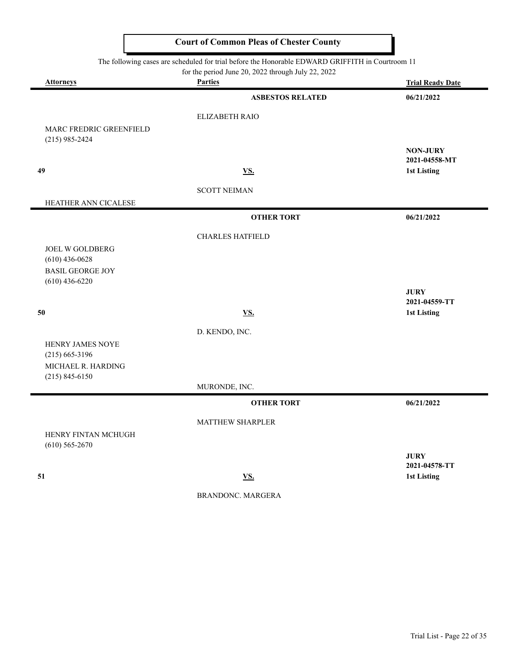The following cases are scheduled for trial before the Honorable EDWARD GRIFFITH in Courtroom 11

for the period June 20, 2022 through July 22, 2022

|                                             | TOT the performance $20, 2022$ unough $\frac{1}{4}$ and $\frac{22}{4}$ , $\frac{2022}{4}$ |                                     |
|---------------------------------------------|-------------------------------------------------------------------------------------------|-------------------------------------|
| <b>Attorneys</b>                            | <b>Parties</b>                                                                            | <b>Trial Ready Date</b>             |
|                                             | <b>ASBESTOS RELATED</b>                                                                   | 06/21/2022                          |
|                                             | ELIZABETH RAIO                                                                            |                                     |
| MARC FREDRIC GREENFIELD                     |                                                                                           |                                     |
| $(215)$ 985-2424                            |                                                                                           | <b>NON-JURY</b>                     |
|                                             |                                                                                           | 2021-04558-MT                       |
| 49                                          | <b>VS.</b>                                                                                | <b>1st Listing</b>                  |
|                                             | <b>SCOTT NEIMAN</b>                                                                       |                                     |
| HEATHER ANN CICALESE                        |                                                                                           |                                     |
|                                             | <b>OTHER TORT</b>                                                                         | 06/21/2022                          |
|                                             | <b>CHARLES HATFIELD</b>                                                                   |                                     |
| <b>JOEL W GOLDBERG</b>                      |                                                                                           |                                     |
| $(610)$ 436-0628<br><b>BASIL GEORGE JOY</b> |                                                                                           |                                     |
| $(610)$ 436-6220                            |                                                                                           |                                     |
|                                             |                                                                                           | <b>JURY</b>                         |
| 50                                          | <u>VS.</u>                                                                                | 2021-04559-TT<br><b>1st Listing</b> |
|                                             | D. KENDO, INC.                                                                            |                                     |
| HENRY JAMES NOYE                            |                                                                                           |                                     |
| $(215)$ 665-3196                            |                                                                                           |                                     |
| MICHAEL R. HARDING                          |                                                                                           |                                     |
| $(215) 845 - 6150$                          | MURONDE, INC.                                                                             |                                     |
|                                             | <b>OTHER TORT</b>                                                                         | 06/21/2022                          |
|                                             | MATTHEW SHARPLER                                                                          |                                     |
| HENRY FINTAN MCHUGH                         |                                                                                           |                                     |
| $(610)$ 565-2670                            |                                                                                           |                                     |
|                                             |                                                                                           | <b>JURY</b><br>2021-04578-TT        |
| 51                                          | <b>VS.</b>                                                                                | <b>1st Listing</b>                  |
|                                             | <b>BRANDONC. MARGERA</b>                                                                  |                                     |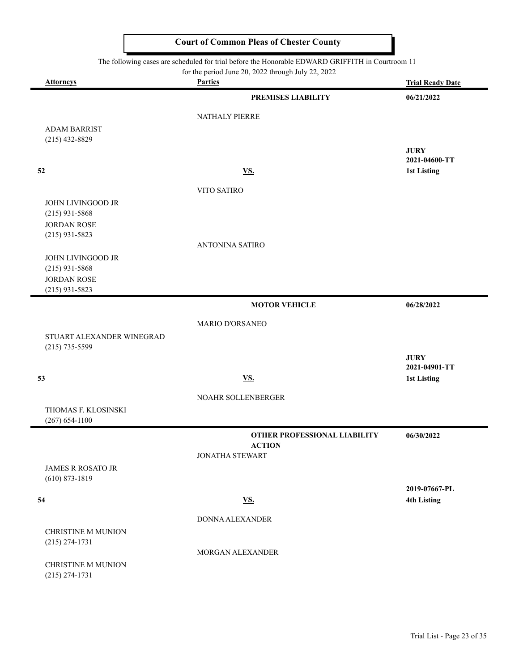#### The following cases are scheduled for trial before the Honorable EDWARD GRIFFITH in Courtroom 11

for the period June 20, 2022 through July 22, 2022

| <b>Attorneys</b>                               | for the period june 20, $2022$ through july 22, $2022$<br><b>Parties</b> | <b>Trial Ready Date</b>      |
|------------------------------------------------|--------------------------------------------------------------------------|------------------------------|
|                                                | PREMISES LIABILITY                                                       | 06/21/2022                   |
|                                                |                                                                          |                              |
|                                                | NATHALY PIERRE                                                           |                              |
| <b>ADAM BARRIST</b>                            |                                                                          |                              |
| $(215)$ 432-8829                               |                                                                          |                              |
|                                                |                                                                          | <b>JURY</b><br>2021-04600-TT |
| 52                                             | <b>VS.</b>                                                               | 1st Listing                  |
|                                                |                                                                          |                              |
|                                                | VITO SATIRO                                                              |                              |
| JOHN LIVINGOOD JR                              |                                                                          |                              |
| $(215)$ 931-5868<br><b>JORDAN ROSE</b>         |                                                                          |                              |
| $(215)$ 931-5823                               |                                                                          |                              |
|                                                | <b>ANTONINA SATIRO</b>                                                   |                              |
| <b>JOHN LIVINGOOD JR</b>                       |                                                                          |                              |
| $(215)$ 931-5868                               |                                                                          |                              |
| <b>JORDAN ROSE</b>                             |                                                                          |                              |
| $(215)$ 931-5823                               |                                                                          |                              |
|                                                | <b>MOTOR VEHICLE</b>                                                     | 06/28/2022                   |
|                                                | <b>MARIO D'ORSANEO</b>                                                   |                              |
| STUART ALEXANDER WINEGRAD                      |                                                                          |                              |
| $(215)$ 735-5599                               |                                                                          |                              |
|                                                |                                                                          | <b>JURY</b>                  |
| 53                                             | <b>VS.</b>                                                               | 2021-04901-TT                |
|                                                |                                                                          | 1st Listing                  |
|                                                | NOAHR SOLLENBERGER                                                       |                              |
| THOMAS F. KLOSINSKI                            |                                                                          |                              |
| $(267) 654 - 1100$                             |                                                                          |                              |
|                                                | OTHER PROFESSIONAL LIABILITY                                             | 06/30/2022                   |
|                                                | <b>ACTION</b><br><b>JONATHA STEWART</b>                                  |                              |
|                                                |                                                                          |                              |
| <b>JAMES R ROSATO JR</b><br>$(610) 873 - 1819$ |                                                                          |                              |
|                                                |                                                                          | 2019-07667-PL                |
| 54                                             | <u>VS.</u>                                                               | <b>4th Listing</b>           |
|                                                | DONNA ALEXANDER                                                          |                              |
| CHRISTINE M MUNION                             |                                                                          |                              |
| $(215) 274 - 1731$                             |                                                                          |                              |
|                                                | MORGAN ALEXANDER                                                         |                              |
| <b>CHRISTINE M MUNION</b>                      |                                                                          |                              |
| $(215) 274 - 1731$                             |                                                                          |                              |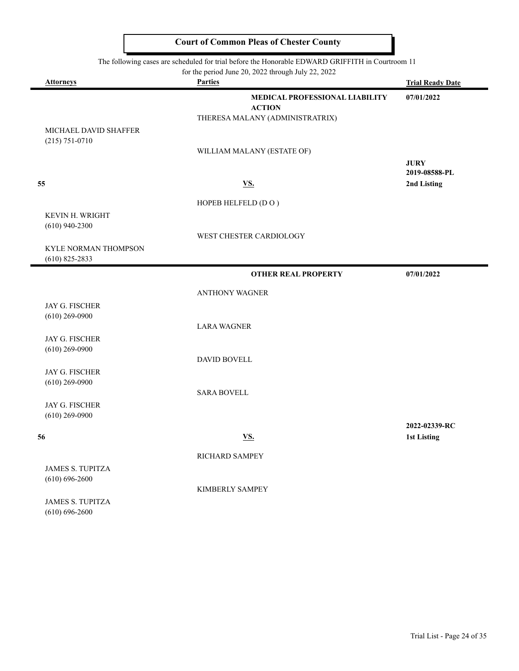|                                             | The following cases are scheduled for trial before the Honorable EDWARD GRIFFITH in Courtroom 11<br>for the period June 20, 2022 through July 22, 2022 |                         |
|---------------------------------------------|--------------------------------------------------------------------------------------------------------------------------------------------------------|-------------------------|
| <b>Attorneys</b>                            | <b>Parties</b>                                                                                                                                         | <b>Trial Ready Date</b> |
|                                             | MEDICAL PROFESSIONAL LIABILITY                                                                                                                         | 07/01/2022              |
|                                             | <b>ACTION</b>                                                                                                                                          |                         |
|                                             | THERESA MALANY (ADMINISTRATRIX)                                                                                                                        |                         |
| MICHAEL DAVID SHAFFER<br>$(215) 751 - 0710$ |                                                                                                                                                        |                         |
|                                             | WILLIAM MALANY (ESTATE OF)                                                                                                                             |                         |
|                                             |                                                                                                                                                        | <b>JURY</b>             |
|                                             |                                                                                                                                                        | 2019-08588-PL           |
| 55                                          | <u>VS.</u>                                                                                                                                             | 2nd Listing             |
|                                             | HOPEB HELFELD (DO)                                                                                                                                     |                         |
| KEVIN H. WRIGHT                             |                                                                                                                                                        |                         |
| $(610)$ 940-2300                            |                                                                                                                                                        |                         |
|                                             | WEST CHESTER CARDIOLOGY                                                                                                                                |                         |
| <b>KYLE NORMAN THOMPSON</b>                 |                                                                                                                                                        |                         |
| $(610)$ 825-2833                            |                                                                                                                                                        |                         |
|                                             | <b>OTHER REAL PROPERTY</b>                                                                                                                             | 07/01/2022              |
|                                             | <b>ANTHONY WAGNER</b>                                                                                                                                  |                         |
| JAY G. FISCHER                              |                                                                                                                                                        |                         |
| $(610)$ 269-0900                            |                                                                                                                                                        |                         |
|                                             | <b>LARA WAGNER</b>                                                                                                                                     |                         |
| JAY G. FISCHER                              |                                                                                                                                                        |                         |
| $(610)$ 269-0900                            | <b>DAVID BOVELL</b>                                                                                                                                    |                         |
| JAY G. FISCHER                              |                                                                                                                                                        |                         |
| $(610)$ 269-0900                            |                                                                                                                                                        |                         |
|                                             | <b>SARA BOVELL</b>                                                                                                                                     |                         |
| JAY G. FISCHER                              |                                                                                                                                                        |                         |
| $(610)$ 269-0900                            |                                                                                                                                                        |                         |
|                                             |                                                                                                                                                        | 2022-02339-RC           |
| 56                                          | <u>VS.</u>                                                                                                                                             | <b>1st Listing</b>      |
|                                             | RICHARD SAMPEY                                                                                                                                         |                         |
| JAMES S. TUPITZA                            |                                                                                                                                                        |                         |
| $(610) 696 - 2600$                          |                                                                                                                                                        |                         |
|                                             | KIMBERLY SAMPEY                                                                                                                                        |                         |
| JAMES S. TUPITZA                            |                                                                                                                                                        |                         |
| $(610) 696 - 2600$                          |                                                                                                                                                        |                         |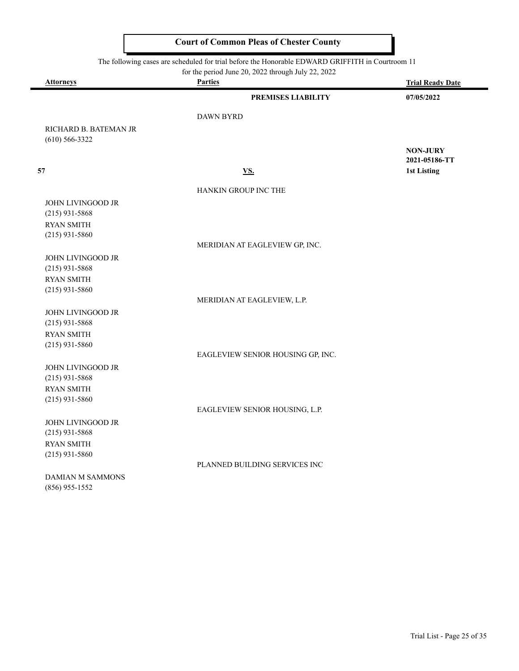|                                           | The following cases are scheduled for trial before the Honorable EDWARD GRIFFITH in Courtroom 11 |                         |
|-------------------------------------------|--------------------------------------------------------------------------------------------------|-------------------------|
|                                           | for the period June 20, 2022 through July 22, 2022                                               |                         |
| <b>Attorneys</b>                          | <b>Parties</b>                                                                                   | <b>Trial Ready Date</b> |
|                                           | PREMISES LIABILITY                                                                               | 07/05/2022              |
|                                           | <b>DAWN BYRD</b>                                                                                 |                         |
| RICHARD B. BATEMAN JR<br>$(610)$ 566-3322 |                                                                                                  |                         |
|                                           |                                                                                                  | <b>NON-JURY</b>         |
|                                           |                                                                                                  | 2021-05186-TT           |
| 57                                        | <u>VS.</u>                                                                                       | 1st Listing             |
|                                           | <b>HANKIN GROUP INC THE</b>                                                                      |                         |
| JOHN LIVINGOOD JR                         |                                                                                                  |                         |
| $(215)$ 931-5868                          |                                                                                                  |                         |

MERIDIAN AT EAGLEVIEW GP, INC.

MERIDIAN AT EAGLEVIEW, L.P.

JOHN LIVINGOOD JR (215) 931-5868 RYAN SMITH (215) 931-5860

RYAN SMITH (215) 931-5860

JOHN LIVINGOOD JR (215) 931-5868 RYAN SMITH (215) 931-5860

EAGLEVIEW SENIOR HOUSING GP, INC.

JOHN LIVINGOOD JR (215) 931-5868 RYAN SMITH (215) 931-5860

JOHN LIVINGOOD JR (215) 931-5868 RYAN SMITH (215) 931-5860

PLANNED BUILDING SERVICES INC

EAGLEVIEW SENIOR HOUSING, L.P.

DAMIAN M SAMMONS (856) 955-1552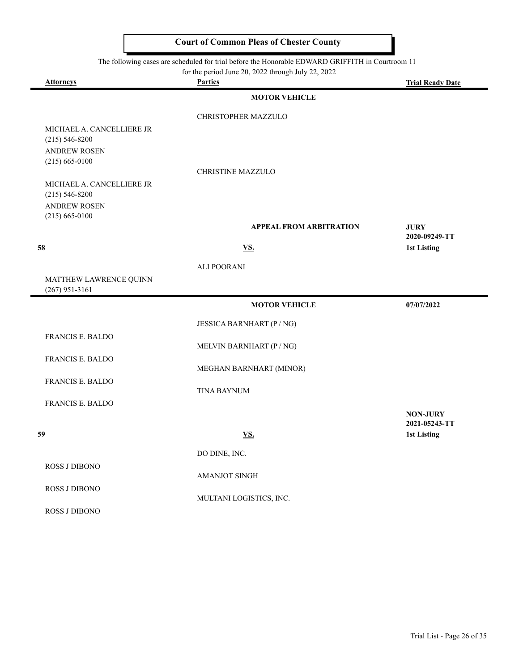| The following cases are scheduled for trial before the Honorable EDWARD GRIFFITH in Courtroom 11<br>for the period June 20, 2022 through July 22, 2022 |                                |                         |
|--------------------------------------------------------------------------------------------------------------------------------------------------------|--------------------------------|-------------------------|
| <b>Attorneys</b>                                                                                                                                       | <b>Parties</b>                 | <b>Trial Ready Date</b> |
|                                                                                                                                                        | <b>MOTOR VEHICLE</b>           |                         |
|                                                                                                                                                        | CHRISTOPHER MAZZULO            |                         |
| MICHAEL A. CANCELLIERE JR                                                                                                                              |                                |                         |
| $(215) 546 - 8200$                                                                                                                                     |                                |                         |
| <b>ANDREW ROSEN</b><br>$(215)$ 665-0100                                                                                                                |                                |                         |
|                                                                                                                                                        | CHRISTINE MAZZULO              |                         |
| MICHAEL A. CANCELLIERE JR                                                                                                                              |                                |                         |
| $(215) 546 - 8200$                                                                                                                                     |                                |                         |
| <b>ANDREW ROSEN</b><br>$(215)$ 665-0100                                                                                                                |                                |                         |
|                                                                                                                                                        | <b>APPEAL FROM ARBITRATION</b> | <b>JURY</b>             |
|                                                                                                                                                        |                                | 2020-09249-TT           |
| 58                                                                                                                                                     | VS.                            | <b>1st Listing</b>      |
|                                                                                                                                                        | <b>ALI POORANI</b>             |                         |
| MATTHEW LAWRENCE QUINN                                                                                                                                 |                                |                         |
| $(267)$ 951-3161                                                                                                                                       |                                |                         |
|                                                                                                                                                        | <b>MOTOR VEHICLE</b>           | 07/07/2022              |
|                                                                                                                                                        | JESSICA BARNHART (P / NG)      |                         |
| <b>FRANCIS E. BALDO</b>                                                                                                                                |                                |                         |
| <b>FRANCIS E. BALDO</b>                                                                                                                                | MELVIN BARNHART (P / NG)       |                         |
|                                                                                                                                                        | MEGHAN BARNHART (MINOR)        |                         |
| FRANCIS E. BALDO                                                                                                                                       |                                |                         |
|                                                                                                                                                        | <b>TINA BAYNUM</b>             |                         |
| <b>FRANCIS E. BALDO</b>                                                                                                                                |                                | <b>NON-JURY</b>         |
|                                                                                                                                                        |                                | 2021-05243-TT           |
| 59                                                                                                                                                     | VS.                            | 1st Listing             |
|                                                                                                                                                        | DO DINE, INC.                  |                         |
| ROSS J DIBONO                                                                                                                                          |                                |                         |
|                                                                                                                                                        | AMANJOT SINGH                  |                         |
| ROSS J DIBONO                                                                                                                                          | MULTANI LOGISTICS, INC.        |                         |
| ROSS J DIBONO                                                                                                                                          |                                |                         |
|                                                                                                                                                        |                                |                         |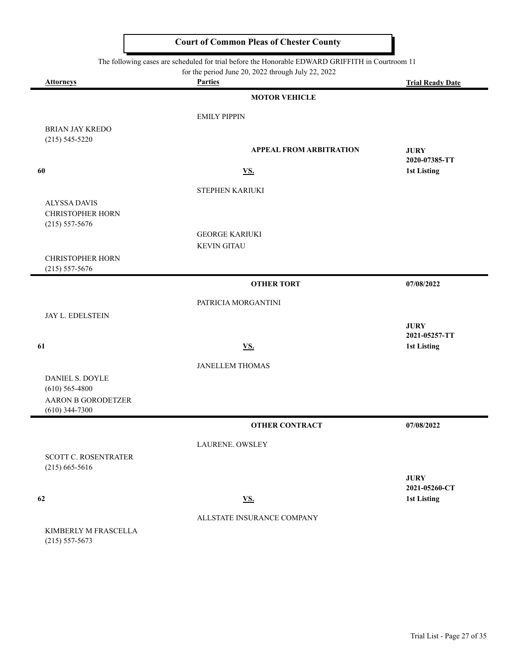| The following cases are scheduled for trial before the Honorable EDWARD GRIFFITH in Courtroom 11<br>for the period June 20, 2022 through July 22, 2022 |                                |                         |  |
|--------------------------------------------------------------------------------------------------------------------------------------------------------|--------------------------------|-------------------------|--|
| <b>Attorneys</b>                                                                                                                                       | <b>Parties</b>                 | <b>Trial Ready Date</b> |  |
|                                                                                                                                                        | <b>MOTOR VEHICLE</b>           |                         |  |
|                                                                                                                                                        | <b>EMILY PIPPIN</b>            |                         |  |
| <b>BRIAN JAY KREDO</b>                                                                                                                                 |                                |                         |  |
| $(215) 545 - 5220$                                                                                                                                     | <b>APPEAL FROM ARBITRATION</b> | <b>JURY</b>             |  |
|                                                                                                                                                        |                                | 2020-07385-TT           |  |
| 60                                                                                                                                                     | <b>VS.</b>                     | 1st Listing             |  |
|                                                                                                                                                        | STEPHEN KARIUKI                |                         |  |
| <b>ALYSSA DAVIS</b>                                                                                                                                    |                                |                         |  |
| <b>CHRISTOPHER HORN</b><br>$(215) 557 - 5676$                                                                                                          |                                |                         |  |
|                                                                                                                                                        | <b>GEORGE KARIUKI</b>          |                         |  |
|                                                                                                                                                        | <b>KEVIN GITAU</b>             |                         |  |
| <b>CHRISTOPHER HORN</b>                                                                                                                                |                                |                         |  |
| $(215)$ 557-5676                                                                                                                                       | <b>OTHER TORT</b>              | 07/08/2022              |  |
|                                                                                                                                                        |                                |                         |  |
|                                                                                                                                                        | PATRICIA MORGANTINI            |                         |  |
| JAY L. EDELSTEIN                                                                                                                                       |                                | <b>JURY</b>             |  |
|                                                                                                                                                        |                                | 2021-05257-TT           |  |
| 61                                                                                                                                                     | VS.                            | 1st Listing             |  |
|                                                                                                                                                        | <b>JANELLEM THOMAS</b>         |                         |  |
| DANIEL S. DOYLE                                                                                                                                        |                                |                         |  |
| $(610)$ 565-4800<br><b>AARON B GORODETZER</b>                                                                                                          |                                |                         |  |
| $(610)$ 344-7300                                                                                                                                       |                                |                         |  |
|                                                                                                                                                        | <b>OTHER CONTRACT</b>          | 07/08/2022              |  |
|                                                                                                                                                        | LAURENE. OWSLEY                |                         |  |
| SCOTT C. ROSENTRATER                                                                                                                                   |                                |                         |  |
| $(215)$ 665-5616                                                                                                                                       |                                | <b>JURY</b>             |  |
|                                                                                                                                                        |                                | 2021-05260-CT           |  |
| 62                                                                                                                                                     | <u>VS.</u>                     | 1st Listing             |  |
|                                                                                                                                                        | ALLSTATE INSURANCE COMPANY     |                         |  |
| KIMBERLY M FRASCELLA                                                                                                                                   |                                |                         |  |

(215) 557-5673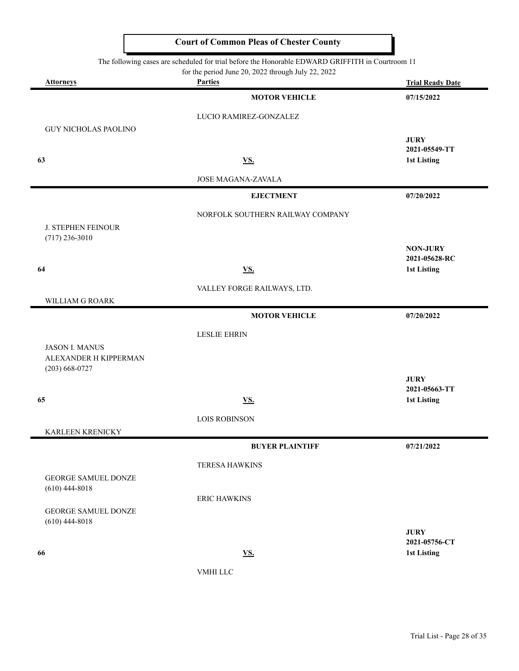The following cases are scheduled for trial before the Honorable EDWARD GRIFFITH in Courtroom 11

for the period June 20, 2022 through July 22, 2022

| <b>Attorneys</b>                                                     | For the period state 20, 2022 unough stay 22, 2022<br><b>Parties</b> | <b>Trial Ready Date</b>             |
|----------------------------------------------------------------------|----------------------------------------------------------------------|-------------------------------------|
|                                                                      | <b>MOTOR VEHICLE</b>                                                 | 07/15/2022                          |
|                                                                      | LUCIO RAMIREZ-GONZALEZ                                               |                                     |
| <b>GUY NICHOLAS PAOLINO</b>                                          |                                                                      | <b>JURY</b>                         |
|                                                                      |                                                                      | 2021-05549-TT                       |
| 63                                                                   | <u>VS.</u>                                                           | <b>1st Listing</b>                  |
|                                                                      | JOSE MAGANA-ZAVALA                                                   |                                     |
|                                                                      | <b>EJECTMENT</b>                                                     | 07/20/2022                          |
|                                                                      | NORFOLK SOUTHERN RAILWAY COMPANY                                     |                                     |
| J. STEPHEN FEINOUR<br>$(717)$ 236-3010                               |                                                                      |                                     |
|                                                                      |                                                                      | <b>NON-JURY</b><br>2021-05628-RC    |
| 64                                                                   | VS.                                                                  | <b>1st Listing</b>                  |
|                                                                      | VALLEY FORGE RAILWAYS, LTD.                                          |                                     |
| WILLIAM G ROARK                                                      |                                                                      |                                     |
|                                                                      | <b>MOTOR VEHICLE</b>                                                 | 07/20/2022                          |
|                                                                      | <b>LESLIE EHRIN</b>                                                  |                                     |
| <b>JASON I. MANUS</b><br>ALEXANDER H KIPPERMAN<br>$(203) 668 - 0727$ |                                                                      |                                     |
|                                                                      |                                                                      | <b>JURY</b>                         |
| 65                                                                   | <u>VS.</u>                                                           | 2021-05663-TT<br><b>1st Listing</b> |
|                                                                      | <b>LOIS ROBINSON</b>                                                 |                                     |
| KARLEEN KRENICKY                                                     |                                                                      |                                     |
|                                                                      | <b>BUYER PLAINTIFF</b>                                               | 07/21/2022                          |
|                                                                      | <b>TERESA HAWKINS</b>                                                |                                     |
| <b>GEORGE SAMUEL DONZE</b>                                           |                                                                      |                                     |
| $(610)$ 444-8018                                                     | <b>ERIC HAWKINS</b>                                                  |                                     |
| <b>GEORGE SAMUEL DONZE</b>                                           |                                                                      |                                     |
| $(610)$ 444-8018                                                     |                                                                      | <b>JURY</b>                         |
|                                                                      |                                                                      | 2021-05756-CT                       |
| 66                                                                   | <u>VS.</u>                                                           | 1st Listing                         |
|                                                                      | VMHI LLC                                                             |                                     |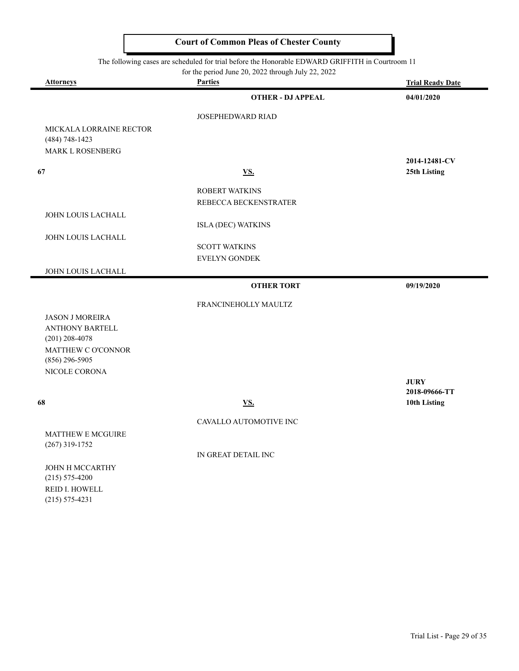The following cases are scheduled for trial before the Honorable EDWARD GRIFFITH in Courtroom 11

|                                               | for the period June 20, 2022 through July 22, 2022 |                              |
|-----------------------------------------------|----------------------------------------------------|------------------------------|
| <b>Attorneys</b>                              | <b>Parties</b>                                     | <b>Trial Ready Date</b>      |
|                                               | <b>OTHER - DJ APPEAL</b>                           | 04/01/2020                   |
|                                               | JOSEPHEDWARD RIAD                                  |                              |
| MICKALA LORRAINE RECTOR<br>$(484) 748 - 1423$ |                                                    |                              |
| <b>MARK L ROSENBERG</b>                       |                                                    |                              |
|                                               |                                                    | 2014-12481-CV                |
| 67                                            | VS.                                                | 25th Listing                 |
|                                               | <b>ROBERT WATKINS</b>                              |                              |
|                                               | REBECCA BECKENSTRATER                              |                              |
| JOHN LOUIS LACHALL                            |                                                    |                              |
|                                               | <b>ISLA (DEC) WATKINS</b>                          |                              |
| JOHN LOUIS LACHALL                            |                                                    |                              |
|                                               | <b>SCOTT WATKINS</b>                               |                              |
|                                               | EVELYN GONDEK                                      |                              |
| JOHN LOUIS LACHALL                            |                                                    |                              |
|                                               | <b>OTHER TORT</b>                                  | 09/19/2020                   |
|                                               | FRANCINEHOLLY MAULTZ                               |                              |
| <b>JASON J MOREIRA</b>                        |                                                    |                              |
| <b>ANTHONY BARTELL</b>                        |                                                    |                              |
| $(201)$ 208-4078                              |                                                    |                              |
| MATTHEW C O'CONNOR                            |                                                    |                              |
| $(856)$ 296-5905                              |                                                    |                              |
| NICOLE CORONA                                 |                                                    |                              |
|                                               |                                                    | <b>JURY</b><br>2018-09666-TT |
| 68                                            | $\underline{\mathbf{VS}}$ .                        | 10th Listing                 |
|                                               |                                                    |                              |
|                                               | CAVALLO AUTOMOTIVE INC                             |                              |
| <b>MATTHEW E MCGUIRE</b>                      |                                                    |                              |
| $(267)$ 319-1752                              |                                                    |                              |
|                                               | IN GREAT DETAIL INC                                |                              |
| JOHN H MCCARTHY                               |                                                    |                              |

(215) 575-4200 REID I. HOWELL (215) 575-4231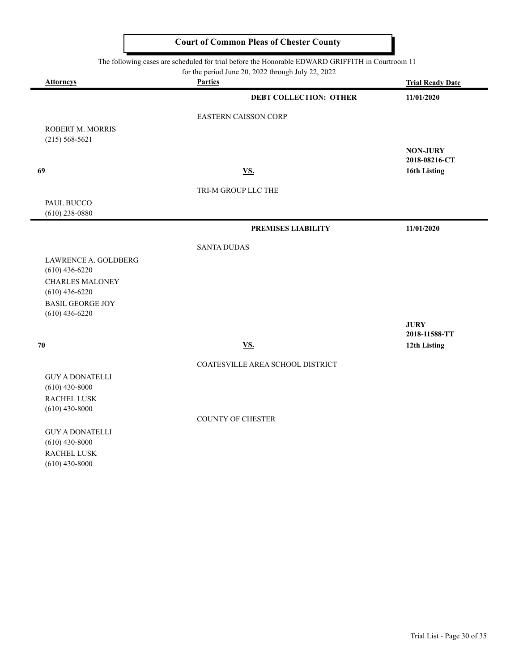The following cases are scheduled for trial before the Honorable EDWARD GRIFFITH in Courtroom 11

|                                            | for the period June 20, 2022 through July 22, 2022 |                                  |
|--------------------------------------------|----------------------------------------------------|----------------------------------|
| <b>Attorneys</b>                           | <b>Parties</b>                                     | <b>Trial Ready Date</b>          |
|                                            | <b>DEBT COLLECTION: OTHER</b>                      | 11/01/2020                       |
|                                            | <b>EASTERN CAISSON CORP</b>                        |                                  |
| ROBERT M. MORRIS                           |                                                    |                                  |
| $(215) 568 - 5621$                         |                                                    |                                  |
|                                            |                                                    | <b>NON-JURY</b><br>2018-08216-CT |
| 69                                         | VS.                                                | 16th Listing                     |
|                                            | TRI-M GROUP LLC THE                                |                                  |
| PAUL BUCCO                                 |                                                    |                                  |
| $(610)$ 238-0880                           |                                                    |                                  |
|                                            | PREMISES LIABILITY                                 | 11/01/2020                       |
|                                            | <b>SANTA DUDAS</b>                                 |                                  |
| LAWRENCE A. GOLDBERG                       |                                                    |                                  |
| $(610)$ 436-6220                           |                                                    |                                  |
| <b>CHARLES MALONEY</b><br>$(610)$ 436-6220 |                                                    |                                  |
| <b>BASIL GEORGE JOY</b>                    |                                                    |                                  |
| $(610)$ 436-6220                           |                                                    |                                  |
|                                            |                                                    | <b>JURY</b><br>2018-11588-TT     |
| 70                                         | <b>VS.</b>                                         | 12th Listing                     |
|                                            | COATESVILLE AREA SCHOOL DISTRICT                   |                                  |
| <b>GUY A DONATELLI</b>                     |                                                    |                                  |
| $(610)$ 430-8000                           |                                                    |                                  |
| RACHEL LUSK<br>$(610)$ 430-8000            |                                                    |                                  |
|                                            | <b>COUNTY OF CHESTER</b>                           |                                  |
|                                            |                                                    |                                  |

GUY A DONATELLI (610) 430-8000 RACHEL LUSK (610) 430-8000

 $\overline{\phantom{0}}$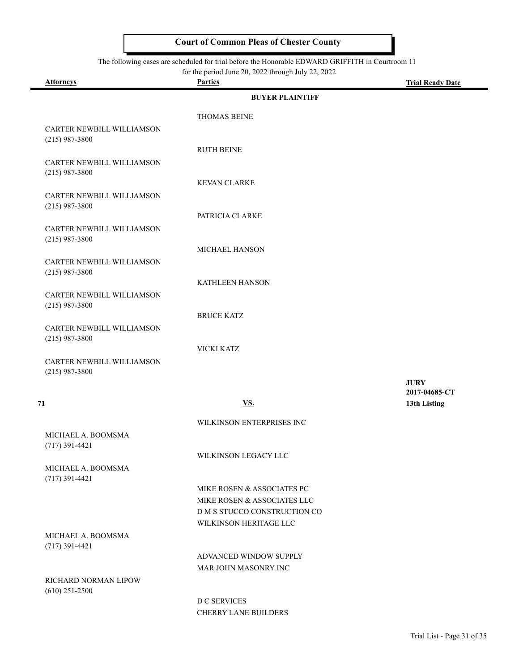The following cases are scheduled for trial before the Honorable EDWARD GRIFFITH in Courtroom 11

for the period June 20, 2022 through July 22, 2022

۰

| <b>Attorneys</b>          | <b>Parties</b>               | <b>Trial Ready Date</b> |
|---------------------------|------------------------------|-------------------------|
|                           | <b>BUYER PLAINTIFF</b>       |                         |
|                           | <b>THOMAS BEINE</b>          |                         |
| CARTER NEWBILL WILLIAMSON |                              |                         |
| $(215)$ 987-3800          |                              |                         |
|                           | <b>RUTH BEINE</b>            |                         |
| CARTER NEWBILL WILLIAMSON |                              |                         |
| $(215)$ 987-3800          | <b>KEVAN CLARKE</b>          |                         |
| CARTER NEWBILL WILLIAMSON |                              |                         |
| $(215)$ 987-3800          |                              |                         |
|                           | PATRICIA CLARKE              |                         |
| CARTER NEWBILL WILLIAMSON |                              |                         |
| $(215)$ 987-3800          | <b>MICHAEL HANSON</b>        |                         |
| CARTER NEWBILL WILLIAMSON |                              |                         |
| $(215)$ 987-3800          |                              |                         |
|                           | KATHLEEN HANSON              |                         |
| CARTER NEWBILL WILLIAMSON |                              |                         |
| $(215)$ 987-3800          | <b>BRUCE KATZ</b>            |                         |
| CARTER NEWBILL WILLIAMSON |                              |                         |
| $(215)$ 987-3800          |                              |                         |
|                           | VICKI KATZ                   |                         |
| CARTER NEWBILL WILLIAMSON |                              |                         |
| $(215)$ 987-3800          |                              | <b>JURY</b>             |
|                           |                              | 2017-04685-CT           |
| 71                        | <b>VS.</b>                   | 13th Listing            |
|                           | WILKINSON ENTERPRISES INC    |                         |
| MICHAEL A. BOOMSMA        |                              |                         |
| $(717)$ 391-4421          |                              |                         |
|                           | WILKINSON LEGACY LLC         |                         |
| MICHAEL A. BOOMSMA        |                              |                         |
| $(717)$ 391-4421          | MIKE ROSEN & ASSOCIATES PC   |                         |
|                           | MIKE ROSEN & ASSOCIATES LLC  |                         |
|                           | D M S STUCCO CONSTRUCTION CO |                         |
|                           | WILKINSON HERITAGE LLC       |                         |
| MICHAEL A. BOOMSMA        |                              |                         |
| $(717)$ 391-4421          | ADVANCED WINDOW SUPPLY       |                         |
|                           | MAR JOHN MASONRY INC         |                         |
| RICHARD NORMAN LIPOW      |                              |                         |
| $(610)$ 251-2500          |                              |                         |
|                           | D C SERVICES                 |                         |
|                           | <b>CHERRY LANE BUILDERS</b>  |                         |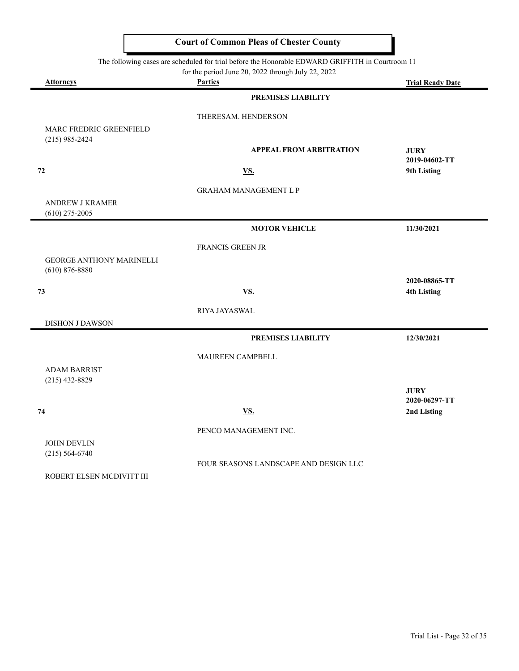|                                                     | The following cases are scheduled for trial before the Honorable EDWARD GRIFFITH in Courtroom 11<br>for the period June 20, 2022 through July 22, 2022 |                                     |
|-----------------------------------------------------|--------------------------------------------------------------------------------------------------------------------------------------------------------|-------------------------------------|
| <b>Attorneys</b>                                    | <b>Parties</b>                                                                                                                                         | <b>Trial Ready Date</b>             |
|                                                     | PREMISES LIABILITY                                                                                                                                     |                                     |
|                                                     | THERESAM. HENDERSON                                                                                                                                    |                                     |
| MARC FREDRIC GREENFIELD<br>$(215)$ 985-2424         | <b>APPEAL FROM ARBITRATION</b>                                                                                                                         | <b>JURY</b><br>2019-04602-TT        |
| 72                                                  | <b>VS.</b>                                                                                                                                             | 9th Listing                         |
|                                                     | <b>GRAHAM MANAGEMENT L P</b>                                                                                                                           |                                     |
| <b>ANDREW J KRAMER</b><br>$(610)$ 275-2005          |                                                                                                                                                        |                                     |
|                                                     | <b>MOTOR VEHICLE</b>                                                                                                                                   | 11/30/2021                          |
|                                                     | FRANCIS GREEN JR                                                                                                                                       |                                     |
| <b>GEORGE ANTHONY MARINELLI</b><br>$(610)$ 876-8880 |                                                                                                                                                        |                                     |
| 73                                                  | <b>VS.</b>                                                                                                                                             | 2020-08865-TT<br><b>4th Listing</b> |
|                                                     | RIYA JAYASWAL                                                                                                                                          |                                     |
| <b>DISHON J DAWSON</b>                              |                                                                                                                                                        |                                     |
|                                                     | PREMISES LIABILITY                                                                                                                                     | 12/30/2021                          |
|                                                     | MAUREEN CAMPBELL                                                                                                                                       |                                     |
| <b>ADAM BARRIST</b><br>$(215)$ 432-8829             |                                                                                                                                                        |                                     |
|                                                     |                                                                                                                                                        | <b>JURY</b><br>2020-06297-TT        |
| 74                                                  | <u>VS.</u>                                                                                                                                             | 2nd Listing                         |
|                                                     | PENCO MANAGEMENT INC.                                                                                                                                  |                                     |
| <b>JOHN DEVLIN</b>                                  |                                                                                                                                                        |                                     |
| $(215) 564 - 6740$                                  |                                                                                                                                                        |                                     |

FOUR SEASONS LANDSCAPE AND DESIGN LLC

ROBERT ELSEN MCDIVITT III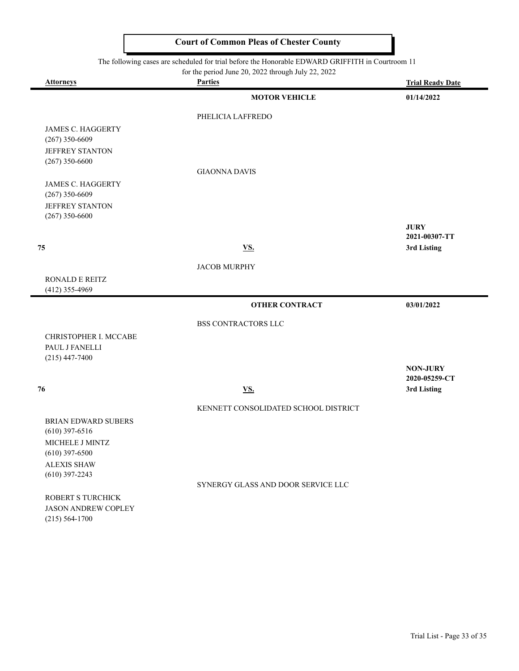|                                                                                                                                                        | <b>Court of Common Pleas of Chester County</b> |                              |
|--------------------------------------------------------------------------------------------------------------------------------------------------------|------------------------------------------------|------------------------------|
| The following cases are scheduled for trial before the Honorable EDWARD GRIFFITH in Courtroom 11<br>for the period June 20, 2022 through July 22, 2022 |                                                |                              |
| <b>Attorneys</b>                                                                                                                                       | <b>Parties</b>                                 | <b>Trial Ready Date</b>      |
|                                                                                                                                                        | <b>MOTOR VEHICLE</b>                           | 01/14/2022                   |
|                                                                                                                                                        | PHELICIA LAFFREDO                              |                              |
| <b>JAMES C. HAGGERTY</b>                                                                                                                               |                                                |                              |
| $(267)$ 350-6609                                                                                                                                       |                                                |                              |
| <b>JEFFREY STANTON</b>                                                                                                                                 |                                                |                              |
| $(267)$ 350-6600                                                                                                                                       | <b>GIAONNA DAVIS</b>                           |                              |
| <b>JAMES C. HAGGERTY</b>                                                                                                                               |                                                |                              |
| $(267)$ 350-6609                                                                                                                                       |                                                |                              |
| JEFFREY STANTON                                                                                                                                        |                                                |                              |
| $(267)$ 350-6600                                                                                                                                       |                                                |                              |
|                                                                                                                                                        |                                                | <b>JURY</b>                  |
|                                                                                                                                                        |                                                | 2021-00307-TT                |
| 75                                                                                                                                                     | VS.                                            | 3rd Listing                  |
|                                                                                                                                                        | <b>JACOB MURPHY</b>                            |                              |
| <b>RONALD E REITZ</b>                                                                                                                                  |                                                |                              |
| (412) 355-4969                                                                                                                                         |                                                |                              |
|                                                                                                                                                        | <b>OTHER CONTRACT</b>                          | 03/01/2022                   |
|                                                                                                                                                        | BSS CONTRACTORS LLC                            |                              |
| CHRISTOPHER I. MCCABE                                                                                                                                  |                                                |                              |
| PAUL J FANELLI                                                                                                                                         |                                                |                              |
| $(215)$ 447-7400                                                                                                                                       |                                                |                              |
|                                                                                                                                                        |                                                | <b>NON-JURY</b>              |
| 76                                                                                                                                                     | VS.                                            | 2020-05259-CT<br>3rd Listing |
|                                                                                                                                                        |                                                |                              |
|                                                                                                                                                        | KENNETT CONSOLIDATED SCHOOL DISTRICT           |                              |
| BRIAN EDWARD SUBERS                                                                                                                                    |                                                |                              |
| $(610)$ 397-6516                                                                                                                                       |                                                |                              |
| MICHELE J MINTZ                                                                                                                                        |                                                |                              |
| $(610)$ 397-6500                                                                                                                                       |                                                |                              |
| <b>ALEXIS SHAW</b>                                                                                                                                     |                                                |                              |
| $(610)$ 397-2243                                                                                                                                       | SYNERGY GLASS AND DOOR SERVICE LLC             |                              |
| ROBERT S TURCHICK                                                                                                                                      |                                                |                              |
| <b>JASON ANDREW COPLEY</b>                                                                                                                             |                                                |                              |
| $(215) 564 - 1700$                                                                                                                                     |                                                |                              |

۰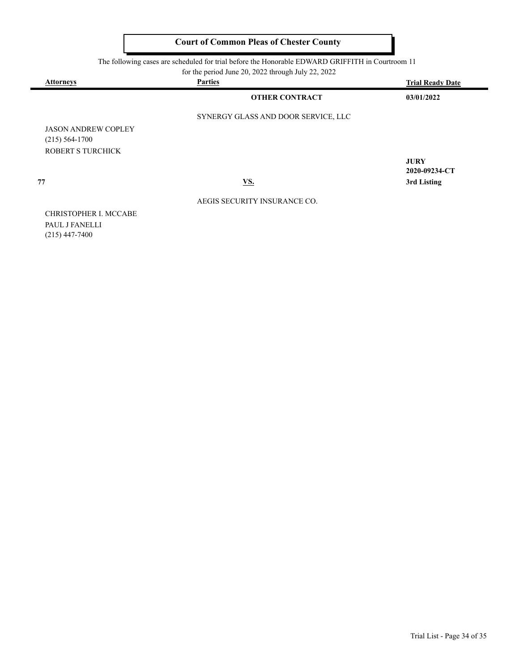The following cases are scheduled for trial before the Honorable EDWARD GRIFFITH in Courtroom 11

for the period June 20, 2022 through July 22, 2022

| <b>Attorneys</b> | <b>Parties</b>                      | <b>Trial Ready Date</b> |
|------------------|-------------------------------------|-------------------------|
|                  | <b>OTHER CONTRACT</b>               | 03/01/2022              |
|                  | SYNERGY GLASS AND DOOR SERVICE, LLC |                         |

JASON ANDREW COPLEY (215) 564-1700 ROBERT S TURCHICK

**JURY 2020-09234-CT 77 VS. 3rd Listing**

CHRISTOPHER I. MCCABE PAUL J FANELLI (215) 447-7400

AEGIS SECURITY INSURANCE CO.